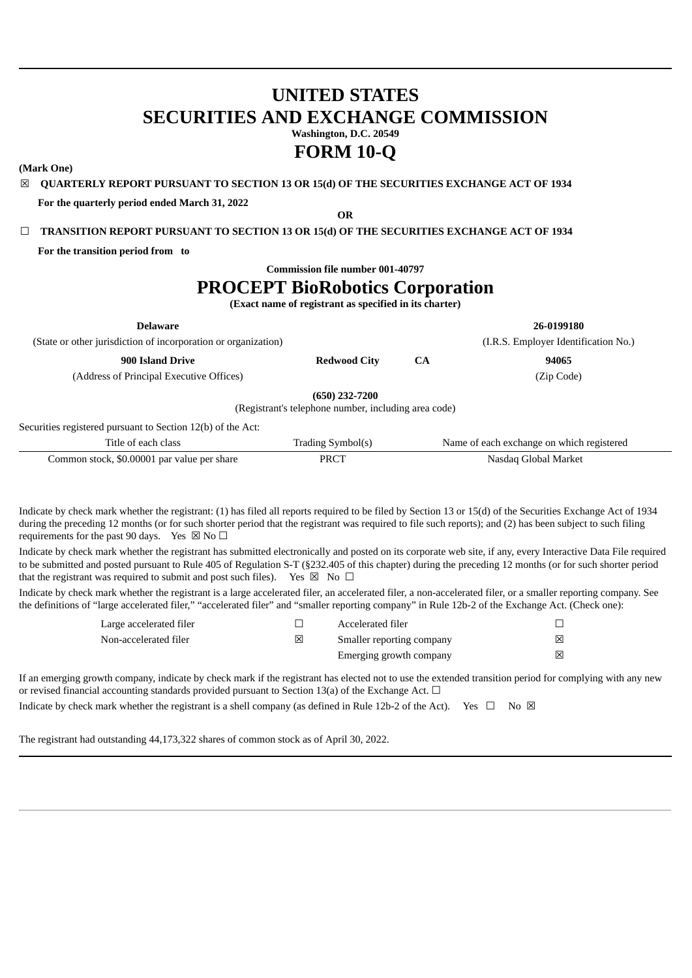# **UNITED STATES SECURITIES AND EXCHANGE COMMISSION Washington, D.C. 20549 FORM 10-Q**

**(Mark One)**

☒ **QUARTERLY REPORT PURSUANT TO SECTION 13 OR 15(d) OF THE SECURITIES EXCHANGE ACT OF 1934 For the quarterly period ended March 31, 2022**

**OR**

☐ **TRANSITION REPORT PURSUANT TO SECTION 13 OR 15(d) OF THE SECURITIES EXCHANGE ACT OF 1934 For the transition period from to**

**Commission file number 001-40797**

# **PROCEPT BioRobotics Corporation**

**(Exact name of registrant as specified in its charter)**

| <b>Delaware</b>                                                |                                                      |           | 26-0199180                           |
|----------------------------------------------------------------|------------------------------------------------------|-----------|--------------------------------------|
| (State or other jurisdiction of incorporation or organization) |                                                      |           | (I.R.S. Employer Identification No.) |
| 900 Island Drive                                               | <b>Redwood City</b>                                  | <b>CA</b> | 94065                                |
| (Address of Principal Executive Offices)                       |                                                      |           | (Zip Code)                           |
|                                                                | $(650)$ 232-7200                                     |           |                                      |
|                                                                | (Registrant's telephone number, including area code) |           |                                      |

Securities registered pursuant to Section 12(b) of the Act:

| Title of each class                         | Trading Symbol(s) | Name of each exchange on which registered |
|---------------------------------------------|-------------------|-------------------------------------------|
| Common stock, \$0.00001 par value per share | <b>PRCT</b>       | Nasdaq Global Market                      |

Indicate by check mark whether the registrant: (1) has filed all reports required to be filed by Section 13 or 15(d) of the Securities Exchange Act of 1934 during the preceding 12 months (or for such shorter period that the registrant was required to file such reports); and (2) has been subject to such filing requirements for the past 90 days. Yes  $\boxtimes$  No  $\Box$ 

Indicate by check mark whether the registrant has submitted electronically and posted on its corporate web site, if any, every Interactive Data File required to be submitted and posted pursuant to Rule 405 of Regulation S-T (§232.405 of this chapter) during the preceding 12 months (or for such shorter period that the registrant was required to submit and post such files). Yes  $\boxtimes$  No  $\Box$ 

Indicate by check mark whether the registrant is a large accelerated filer, an accelerated filer, a non-accelerated filer, or a smaller reporting company. See the definitions of "large accelerated filer," "accelerated filer" and "smaller reporting company" in Rule 12b-2 of the Exchange Act. (Check one):

| Large accelerated filer |             | Accelerated filer         |   |
|-------------------------|-------------|---------------------------|---|
| Non-accelerated filer   | $\boxtimes$ | Smaller reporting company | 冈 |
|                         |             | Emerging growth company   | 冈 |

If an emerging growth company, indicate by check mark if the registrant has elected not to use the extended transition period for complying with any new or revised financial accounting standards provided pursuant to Section 13(a) of the Exchange Act.  $\Box$ 

Indicate by check mark whether the registrant is a shell company (as defined in Rule 12b-2 of the Act). Yes  $\Box$  No  $\boxtimes$ 

The registrant had outstanding 44,173,322 shares of common stock as of April 30, 2022.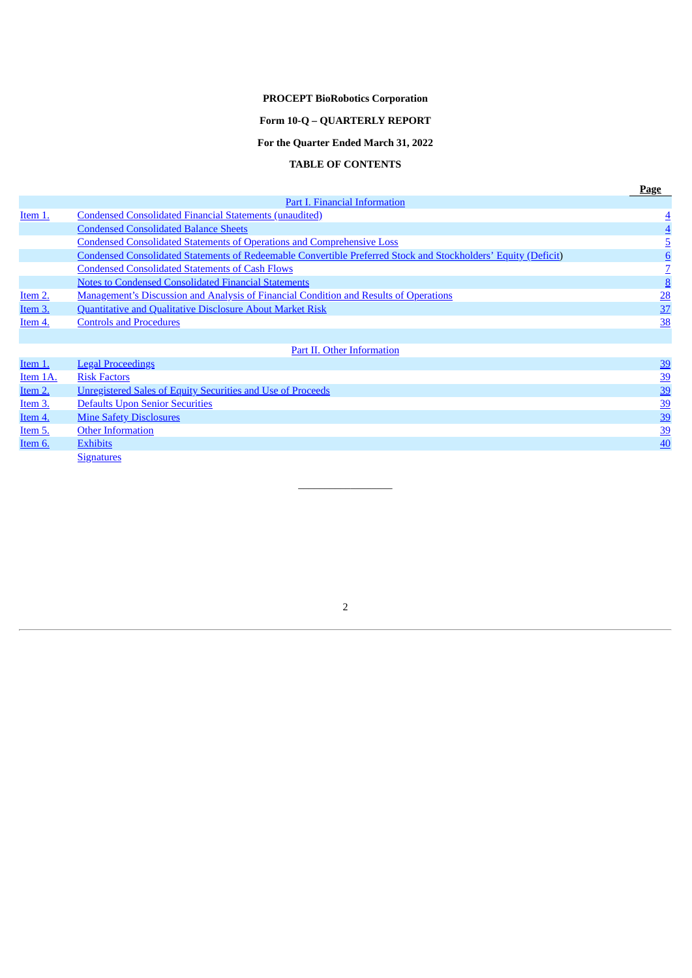# **PROCEPT BioRobotics Corporation**

# **Form 10-Q – QUARTERLY REPORT**

# **For the Quarter Ended March 31, 2022**

# **TABLE OF CONTENTS**

|          |                                                                                                                | <b>Page</b>    |
|----------|----------------------------------------------------------------------------------------------------------------|----------------|
|          | Part I. Financial Information                                                                                  |                |
| Item 1.  | <b>Condensed Consolidated Financial Statements (unaudited)</b>                                                 |                |
|          | <b>Condensed Consolidated Balance Sheets</b>                                                                   |                |
|          | <b>Condensed Consolidated Statements of Operations and Comprehensive Loss</b>                                  |                |
|          | Condensed Consolidated Statements of Redeemable Convertible Preferred Stock and Stockholders' Equity (Deficit) | 6              |
|          | <b>Condensed Consolidated Statements of Cash Flows</b>                                                         |                |
|          | <b>Notes to Condensed Consolidated Financial Statements</b>                                                    | 8              |
| Item 2.  | <b>Management's Discussion and Analysis of Financial Condition and Results of Operations</b>                   | 28             |
| Item 3.  | <b>Quantitative and Qualitative Disclosure About Market Risk</b>                                               | $\frac{37}{2}$ |
| Item 4.  | <b>Controls and Procedures</b>                                                                                 | 38             |
|          |                                                                                                                |                |
|          | Part II. Other Information                                                                                     |                |
| Item 1.  | <b>Legal Proceedings</b>                                                                                       | <u>39</u>      |
| Item 1A. | <b>Risk Factors</b>                                                                                            | 39             |
| Item 2.  | <b>Unregistered Sales of Equity Securities and Use of Proceeds</b>                                             | 39             |
| Item 3.  | <b>Defaults Upon Senior Securities</b>                                                                         | <u>39</u>      |
| Item 4.  | <b>Mine Safety Disclosures</b>                                                                                 | <u>39</u>      |
| Item 5.  | <b>Other Information</b>                                                                                       | 39             |
| Item 6.  | <b>Exhibits</b>                                                                                                | 40             |
|          | <b>Signatures</b>                                                                                              |                |

# 2

 $\_$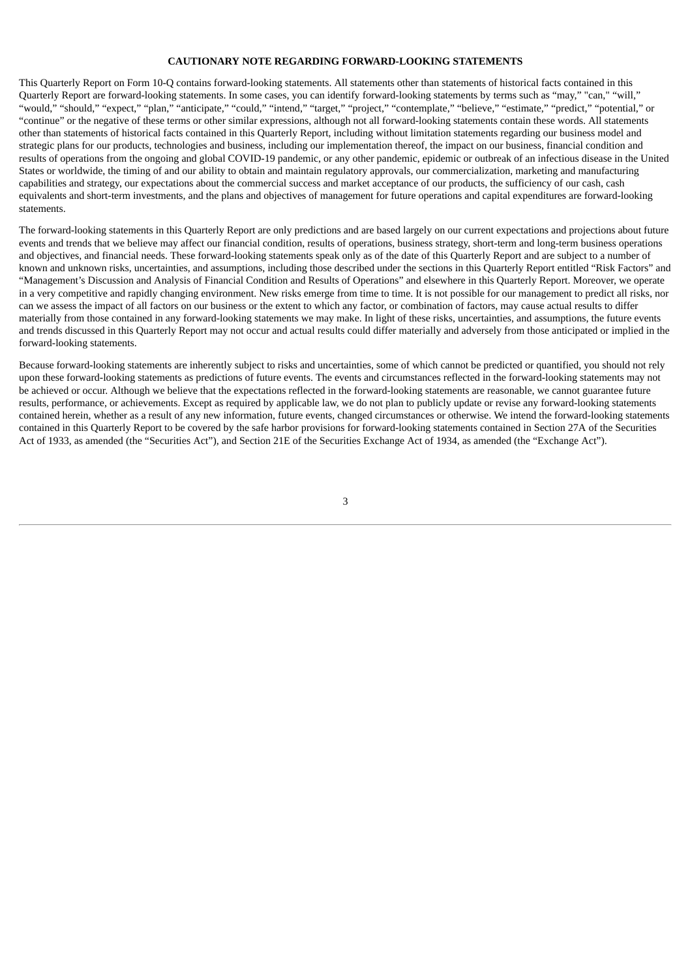### **CAUTIONARY NOTE REGARDING FORWARD-LOOKING STATEMENTS**

This Quarterly Report on Form 10-Q contains forward-looking statements. All statements other than statements of historical facts contained in this Quarterly Report are forward-looking statements. In some cases, you can identify forward-looking statements by terms such as "may," "can," "will," "would," "should," "expect," "plan," "anticipate," "could," "intend," "target," "project," "contemplate," "believe," "estimate," "predict," "potential," or "continue" or the negative of these terms or other similar expressions, although not all forward-looking statements contain these words. All statements other than statements of historical facts contained in this Quarterly Report, including without limitation statements regarding our business model and strategic plans for our products, technologies and business, including our implementation thereof, the impact on our business, financial condition and results of operations from the ongoing and global COVID-19 pandemic, or any other pandemic, epidemic or outbreak of an infectious disease in the United States or worldwide, the timing of and our ability to obtain and maintain regulatory approvals, our commercialization, marketing and manufacturing capabilities and strategy, our expectations about the commercial success and market acceptance of our products, the sufficiency of our cash, cash equivalents and short-term investments, and the plans and objectives of management for future operations and capital expenditures are forward-looking statements.

The forward-looking statements in this Quarterly Report are only predictions and are based largely on our current expectations and projections about future events and trends that we believe may affect our financial condition, results of operations, business strategy, short-term and long-term business operations and objectives, and financial needs. These forward-looking statements speak only as of the date of this Quarterly Report and are subject to a number of known and unknown risks, uncertainties, and assumptions, including those described under the sections in this Quarterly Report entitled "Risk Factors" and "Management's Discussion and Analysis of Financial Condition and Results of Operations" and elsewhere in this Quarterly Report. Moreover, we operate in a very competitive and rapidly changing environment. New risks emerge from time to time. It is not possible for our management to predict all risks, nor can we assess the impact of all factors on our business or the extent to which any factor, or combination of factors, may cause actual results to differ materially from those contained in any forward-looking statements we may make. In light of these risks, uncertainties, and assumptions, the future events and trends discussed in this Quarterly Report may not occur and actual results could differ materially and adversely from those anticipated or implied in the forward-looking statements.

<span id="page-2-0"></span>Because forward-looking statements are inherently subject to risks and uncertainties, some of which cannot be predicted or quantified, you should not rely upon these forward-looking statements as predictions of future events. The events and circumstances reflected in the forward-looking statements may not be achieved or occur. Although we believe that the expectations reflected in the forward-looking statements are reasonable, we cannot guarantee future results, performance, or achievements. Except as required by applicable law, we do not plan to publicly update or revise any forward-looking statements contained herein, whether as a result of any new information, future events, changed circumstances or otherwise. We intend the forward-looking statements contained in this Quarterly Report to be covered by the safe harbor provisions for forward-looking statements contained in Section 27A of the Securities Act of 1933, as amended (the "Securities Act"), and Section 21E of the Securities Exchange Act of 1934, as amended (the "Exchange Act").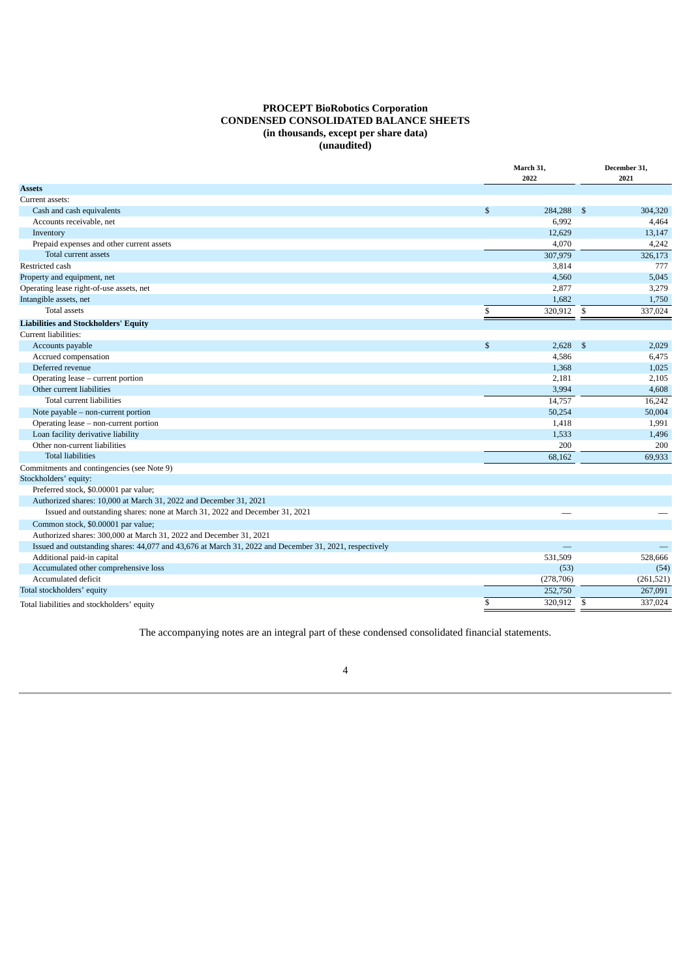# **PROCEPT BioRobotics Corporation CONDENSED CONSOLIDATED BALANCE SHEETS (in thousands, except per share data) (unaudited)**

<span id="page-3-1"></span><span id="page-3-0"></span>

|                                                                                                        |                | March 31,<br>2022        |               | December 31,<br>2021 |
|--------------------------------------------------------------------------------------------------------|----------------|--------------------------|---------------|----------------------|
| <b>Assets</b>                                                                                          |                |                          |               |                      |
| Current assets:                                                                                        |                |                          |               |                      |
| Cash and cash equivalents                                                                              | $\mathfrak{s}$ | 284,288                  | <sup>\$</sup> | 304,320              |
| Accounts receivable, net                                                                               |                | 6,992                    |               | 4,464                |
| Inventory                                                                                              |                | 12,629                   |               | 13,147               |
| Prepaid expenses and other current assets                                                              |                | 4,070                    |               | 4,242                |
| Total current assets                                                                                   |                | 307,979                  |               | 326,173              |
| Restricted cash                                                                                        |                | 3,814                    |               | 777                  |
| Property and equipment, net                                                                            |                | 4,560                    |               | 5,045                |
| Operating lease right-of-use assets, net                                                               |                | 2,877                    |               | 3,279                |
| Intangible assets, net                                                                                 |                | 1,682                    |               | 1,750                |
| <b>Total assets</b>                                                                                    | \$             | 320,912                  | \$            | 337,024              |
| <b>Liabilities and Stockholders' Equity</b>                                                            |                |                          |               |                      |
| Current liabilities:                                                                                   |                |                          |               |                      |
| Accounts payable                                                                                       | $\mathfrak{s}$ | 2,628                    | $\mathbb{S}$  | 2,029                |
| Accrued compensation                                                                                   |                | 4,586                    |               | 6,475                |
| Deferred revenue                                                                                       |                | 1,368                    |               | 1,025                |
| Operating lease – current portion                                                                      |                | 2,181                    |               | 2,105                |
| Other current liabilities                                                                              |                | 3,994                    |               | 4,608                |
| Total current liabilities                                                                              |                | 14,757                   |               | 16,242               |
| Note payable - non-current portion                                                                     |                | 50,254                   |               | 50,004               |
| Operating lease - non-current portion                                                                  |                | 1,418                    |               | 1,991                |
| Loan facility derivative liability                                                                     |                | 1,533                    |               | 1,496                |
| Other non-current liabilities                                                                          |                | 200                      |               | 200                  |
| <b>Total liabilities</b>                                                                               |                | 68,162                   |               | 69,933               |
| Commitments and contingencies (see Note 9)                                                             |                |                          |               |                      |
| Stockholders' equity:                                                                                  |                |                          |               |                      |
| Preferred stock, \$0.00001 par value;                                                                  |                |                          |               |                      |
| Authorized shares: 10,000 at March 31, 2022 and December 31, 2021                                      |                |                          |               |                      |
| Issued and outstanding shares: none at March 31, 2022 and December 31, 2021                            |                |                          |               |                      |
| Common stock, \$0.00001 par value;                                                                     |                |                          |               |                      |
| Authorized shares: 300,000 at March 31, 2022 and December 31, 2021                                     |                |                          |               |                      |
| Issued and outstanding shares: 44,077 and 43,676 at March 31, 2022 and December 31, 2021, respectively |                | $\overline{\phantom{0}}$ |               |                      |
| Additional paid-in capital                                                                             |                | 531,509                  |               | 528,666              |
| Accumulated other comprehensive loss                                                                   |                | (53)                     |               | (54)                 |
| Accumulated deficit                                                                                    |                | (278, 706)               |               | (261, 521)           |
| Total stockholders' equity                                                                             |                | 252,750                  |               | 267,091              |
| Total liabilities and stockholders' equity                                                             | \$             | 320,912                  | \$            | 337,024              |

<span id="page-3-2"></span>

The accompanying notes are an integral part of these condensed consolidated financial statements.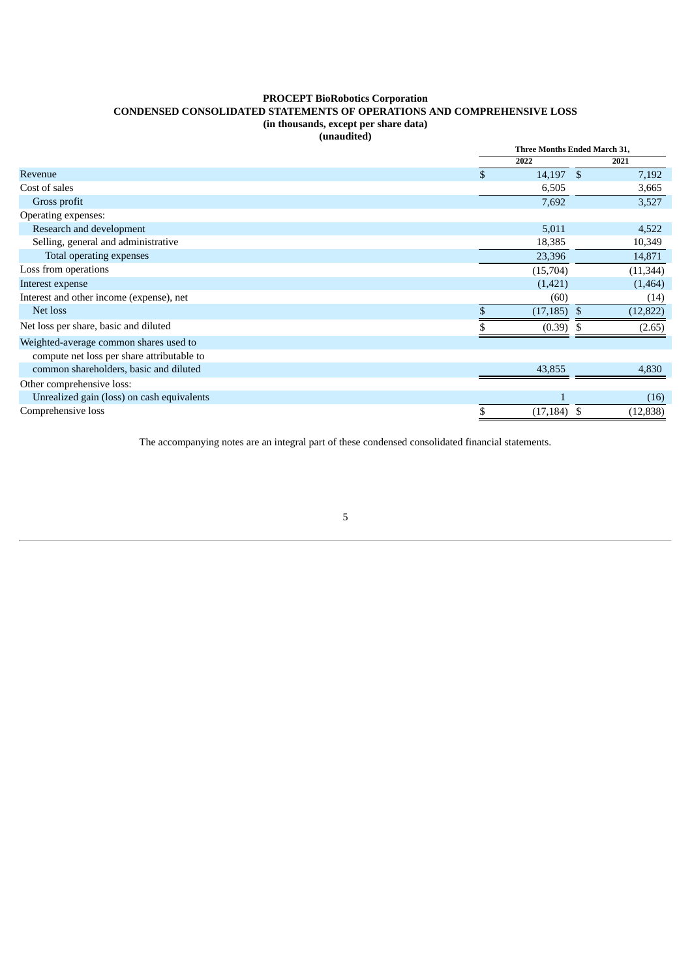# **PROCEPT BioRobotics Corporation CONDENSED CONSOLIDATED STATEMENTS OF OPERATIONS AND COMPREHENSIVE LOSS (in thousands, except per share data) (unaudited)**

|                                            |    | Three Months Ended March 31, |     |           |  |
|--------------------------------------------|----|------------------------------|-----|-----------|--|
|                                            |    | 2022                         |     | 2021      |  |
| Revenue                                    | \$ | 14,197 \$                    |     | 7,192     |  |
| Cost of sales                              |    | 6,505                        |     | 3,665     |  |
| Gross profit                               |    | 7,692                        |     | 3,527     |  |
| Operating expenses:                        |    |                              |     |           |  |
| Research and development                   |    | 5,011                        |     | 4,522     |  |
| Selling, general and administrative        |    | 18,385                       |     | 10,349    |  |
| Total operating expenses                   |    | 23,396                       |     | 14,871    |  |
| Loss from operations                       |    | (15,704)                     |     | (11, 344) |  |
| Interest expense                           |    | (1,421)                      |     | (1,464)   |  |
| Interest and other income (expense), net   |    | (60)                         |     | (14)      |  |
| Net loss                                   |    | (17, 185)                    | \$  | (12, 822) |  |
| Net loss per share, basic and diluted      |    | (0.39)                       | \$. | (2.65)    |  |
| Weighted-average common shares used to     |    |                              |     |           |  |
| compute net loss per share attributable to |    |                              |     |           |  |
| common shareholders, basic and diluted     |    | 43,855                       |     | 4,830     |  |
| Other comprehensive loss:                  |    |                              |     |           |  |
| Unrealized gain (loss) on cash equivalents |    |                              |     | (16)      |  |
| Comprehensive loss                         | S  | (17, 184)                    | .S  | (12, 838) |  |

<span id="page-4-0"></span>The accompanying notes are an integral part of these condensed consolidated financial statements.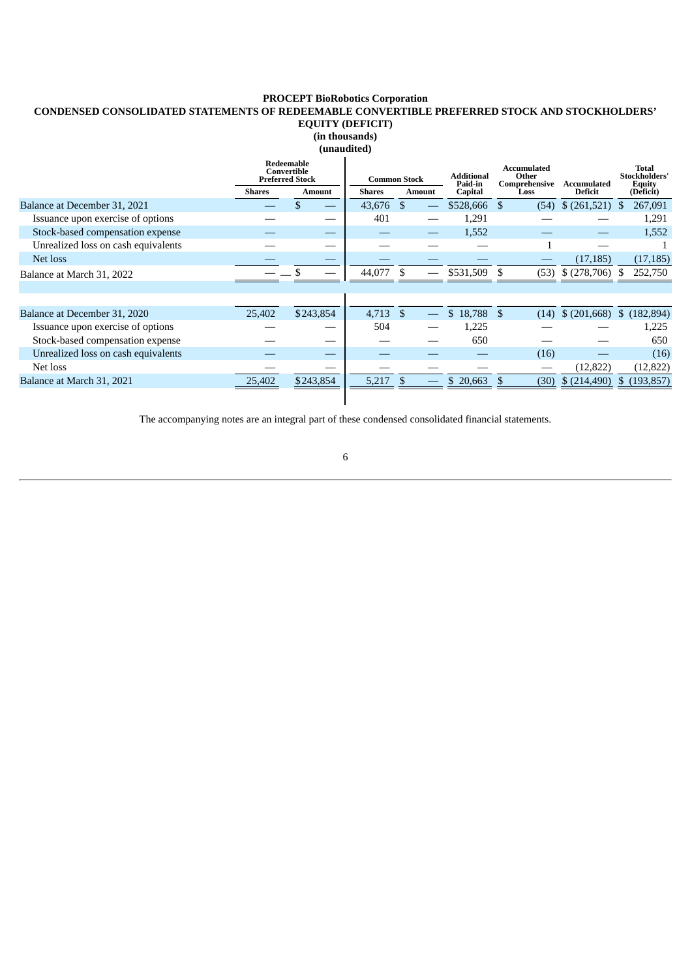# **PROCEPT BioRobotics Corporation CONDENSED CONSOLIDATED STATEMENTS OF REDEEMABLE CONVERTIBLE PREFERRED STOCK AND STOCKHOLDERS' EQUITY (DEFICIT) (in thousands)**

**(unaudited)**

|                                     |               | Redeemable<br>Convertible<br><b>Preferred Stock</b> |               | <b>Common Stock</b>                   | Additional<br>Paid-in | <b>Accumulated</b><br>Other<br>Comprehensive | Accumulated    | Total<br>Stockholders'<br>Equity |
|-------------------------------------|---------------|-----------------------------------------------------|---------------|---------------------------------------|-----------------------|----------------------------------------------|----------------|----------------------------------|
|                                     | <b>Shares</b> | <b>Amount</b>                                       | <b>Shares</b> | Amount                                | Capital               | Loss                                         | <b>Deficit</b> | (Deficit)                        |
| Balance at December 31, 2021        |               |                                                     | 43,676        | -S<br>$\overline{\phantom{0}}$        | \$528,666             | <sup>\$</sup><br>(54)                        | \$(261,521)    | 267,091<br>-S                    |
| Issuance upon exercise of options   |               |                                                     | 401           |                                       | 1,291                 |                                              |                | 1,291                            |
| Stock-based compensation expense    |               |                                                     |               |                                       | 1,552                 |                                              |                | 1,552                            |
| Unrealized loss on cash equivalents |               |                                                     |               |                                       |                       |                                              |                |                                  |
| Net loss                            |               |                                                     |               |                                       |                       |                                              | (17, 185)      | (17, 185)                        |
| Balance at March 31, 2022           |               |                                                     | 44,077        | .S<br>$\hspace{0.1mm}-\hspace{0.1mm}$ | \$531,509             | (53)<br>.S                                   | \$(278,706)    | 252,750<br>S.                    |
|                                     |               |                                                     |               |                                       |                       |                                              |                |                                  |
|                                     |               |                                                     |               |                                       |                       |                                              |                |                                  |
| Balance at December 31, 2020        | 25,402        | \$243,854                                           | 4,713 \$      |                                       | \$18,788              | \$.<br>(14)                                  | \$(201,668)    | \$(182,894)                      |
| Issuance upon exercise of options   |               |                                                     | 504           |                                       | 1,225                 |                                              |                | 1,225                            |
| Stock-based compensation expense    |               |                                                     |               |                                       | 650                   |                                              |                | 650                              |
| Unrealized loss on cash equivalents |               |                                                     |               |                                       |                       | (16)                                         |                | (16)                             |
| Net loss                            |               |                                                     |               |                                       |                       |                                              | (12, 822)      | (12, 822)                        |
| Balance at March 31, 2021           | 25,402        | \$243,854                                           | 5,217         |                                       | \$<br>20,663          | (30)<br>S.                                   | \$(214,490)    | (193, 857)<br>S.                 |

<span id="page-5-0"></span>The accompanying notes are an integral part of these condensed consolidated financial statements.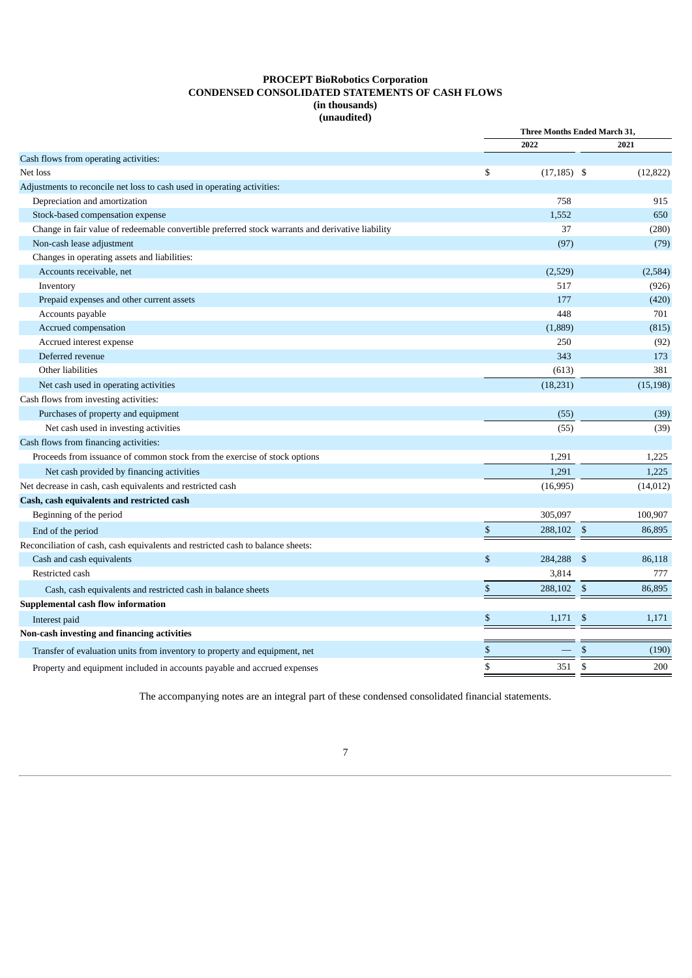## **PROCEPT BioRobotics Corporation CONDENSED CONSOLIDATED STATEMENTS OF CASH FLOWS (in thousands) (unaudited)**

|                                                                                                  | Three Months Ended March 31, |                |           |  |
|--------------------------------------------------------------------------------------------------|------------------------------|----------------|-----------|--|
|                                                                                                  | 2022                         |                | 2021      |  |
| Cash flows from operating activities:                                                            |                              |                |           |  |
| Net loss                                                                                         | \$<br>$(17, 185)$ \$         |                | (12, 822) |  |
| Adjustments to reconcile net loss to cash used in operating activities:                          |                              |                |           |  |
| Depreciation and amortization                                                                    | 758                          |                | 915       |  |
| Stock-based compensation expense                                                                 | 1,552                        |                | 650       |  |
| Change in fair value of redeemable convertible preferred stock warrants and derivative liability | 37                           |                | (280)     |  |
| Non-cash lease adjustment                                                                        | (97)                         |                | (79)      |  |
| Changes in operating assets and liabilities:                                                     |                              |                |           |  |
| Accounts receivable, net                                                                         | (2,529)                      |                | (2,584)   |  |
| Inventory                                                                                        | 517                          |                | (926)     |  |
| Prepaid expenses and other current assets                                                        | 177                          |                | (420)     |  |
| Accounts payable                                                                                 | 448                          |                | 701       |  |
| Accrued compensation                                                                             | (1,889)                      |                | (815)     |  |
| Accrued interest expense                                                                         | 250                          |                | (92)      |  |
| Deferred revenue                                                                                 | 343                          |                | 173       |  |
| Other liabilities                                                                                | (613)                        |                | 381       |  |
| Net cash used in operating activities                                                            | (18, 231)                    |                | (15, 198) |  |
| Cash flows from investing activities:                                                            |                              |                |           |  |
| Purchases of property and equipment                                                              | (55)                         |                | (39)      |  |
| Net cash used in investing activities                                                            | (55)                         |                | (39)      |  |
| Cash flows from financing activities:                                                            |                              |                |           |  |
| Proceeds from issuance of common stock from the exercise of stock options                        | 1,291                        |                | 1,225     |  |
| Net cash provided by financing activities                                                        | 1,291                        |                | 1,225     |  |
| Net decrease in cash, cash equivalents and restricted cash                                       | (16,995)                     |                | (14, 012) |  |
| Cash, cash equivalents and restricted cash                                                       |                              |                |           |  |
| Beginning of the period                                                                          | 305,097                      |                | 100,907   |  |
| End of the period                                                                                | \$<br>288,102                | $\mathfrak{s}$ | 86,895    |  |
| Reconciliation of cash, cash equivalents and restricted cash to balance sheets:                  |                              |                |           |  |
| Cash and cash equivalents                                                                        | \$<br>284,288                | -\$            | 86,118    |  |
| Restricted cash                                                                                  | 3,814                        |                | 777       |  |
| Cash, cash equivalents and restricted cash in balance sheets                                     | \$<br>288,102                | $\mathfrak{s}$ | 86,895    |  |
| <b>Supplemental cash flow information</b>                                                        |                              |                |           |  |
| Interest paid                                                                                    | \$<br>1,171                  | \$             | 1,171     |  |
| Non-cash investing and financing activities                                                      |                              |                |           |  |
|                                                                                                  | \$                           | \$             |           |  |
| Transfer of evaluation units from inventory to property and equipment, net                       |                              |                | (190)     |  |
| Property and equipment included in accounts payable and accrued expenses                         | \$<br>351                    | \$             | 200       |  |

<span id="page-6-0"></span>The accompanying notes are an integral part of these condensed consolidated financial statements.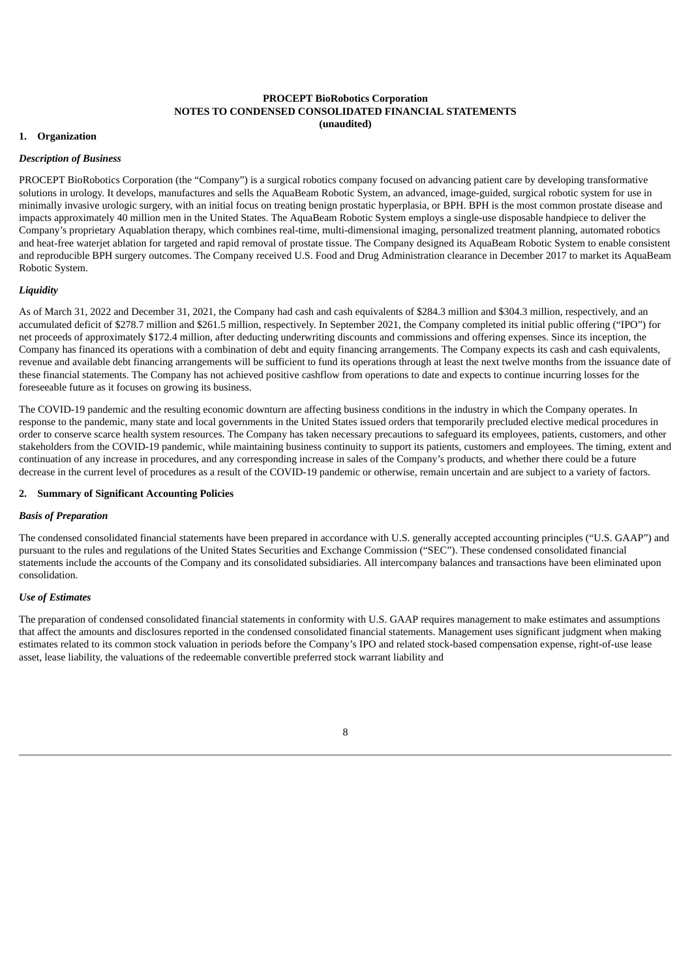# **PROCEPT BioRobotics Corporation NOTES TO CONDENSED CONSOLIDATED FINANCIAL STATEMENTS (unaudited)**

### **1. Organization**

#### *Description of Business*

PROCEPT BioRobotics Corporation (the "Company") is a surgical robotics company focused on advancing patient care by developing transformative solutions in urology. It develops, manufactures and sells the AquaBeam Robotic System, an advanced, image-guided, surgical robotic system for use in minimally invasive urologic surgery, with an initial focus on treating benign prostatic hyperplasia, or BPH. BPH is the most common prostate disease and impacts approximately 40 million men in the United States. The AquaBeam Robotic System employs a single-use disposable handpiece to deliver the Company's proprietary Aquablation therapy, which combines real-time, multi-dimensional imaging, personalized treatment planning, automated robotics and heat-free waterjet ablation for targeted and rapid removal of prostate tissue. The Company designed its AquaBeam Robotic System to enable consistent and reproducible BPH surgery outcomes. The Company received U.S. Food and Drug Administration clearance in December 2017 to market its AquaBeam Robotic System.

#### *Liquidity*

As of March 31, 2022 and December 31, 2021, the Company had cash and cash equivalents of \$284.3 million and \$304.3 million, respectively, and an accumulated deficit of \$278.7 million and \$261.5 million, respectively. In September 2021, the Company completed its initial public offering ("IPO") for net proceeds of approximately \$172.4 million, after deducting underwriting discounts and commissions and offering expenses. Since its inception, the Company has financed its operations with a combination of debt and equity financing arrangements. The Company expects its cash and cash equivalents, revenue and available debt financing arrangements will be sufficient to fund its operations through at least the next twelve months from the issuance date of these financial statements. The Company has not achieved positive cashflow from operations to date and expects to continue incurring losses for the foreseeable future as it focuses on growing its business.

The COVID-19 pandemic and the resulting economic downturn are affecting business conditions in the industry in which the Company operates. In response to the pandemic, many state and local governments in the United States issued orders that temporarily precluded elective medical procedures in order to conserve scarce health system resources. The Company has taken necessary precautions to safeguard its employees, patients, customers, and other stakeholders from the COVID-19 pandemic, while maintaining business continuity to support its patients, customers and employees. The timing, extent and continuation of any increase in procedures, and any corresponding increase in sales of the Company's products, and whether there could be a future decrease in the current level of procedures as a result of the COVID-19 pandemic or otherwise, remain uncertain and are subject to a variety of factors.

# **2. Summary of Significant Accounting Policies**

### *Basis of Preparation*

The condensed consolidated financial statements have been prepared in accordance with U.S. generally accepted accounting principles ("U.S. GAAP") and pursuant to the rules and regulations of the United States Securities and Exchange Commission ("SEC"). These condensed consolidated financial statements include the accounts of the Company and its consolidated subsidiaries. All intercompany balances and transactions have been eliminated upon consolidation.

# *Use of Estimates*

The preparation of condensed consolidated financial statements in conformity with U.S. GAAP requires management to make estimates and assumptions that affect the amounts and disclosures reported in the condensed consolidated financial statements. Management uses significant judgment when making estimates related to its common stock valuation in periods before the Company's IPO and related stock-based compensation expense, right-of-use lease asset, lease liability, the valuations of the redeemable convertible preferred stock warrant liability and

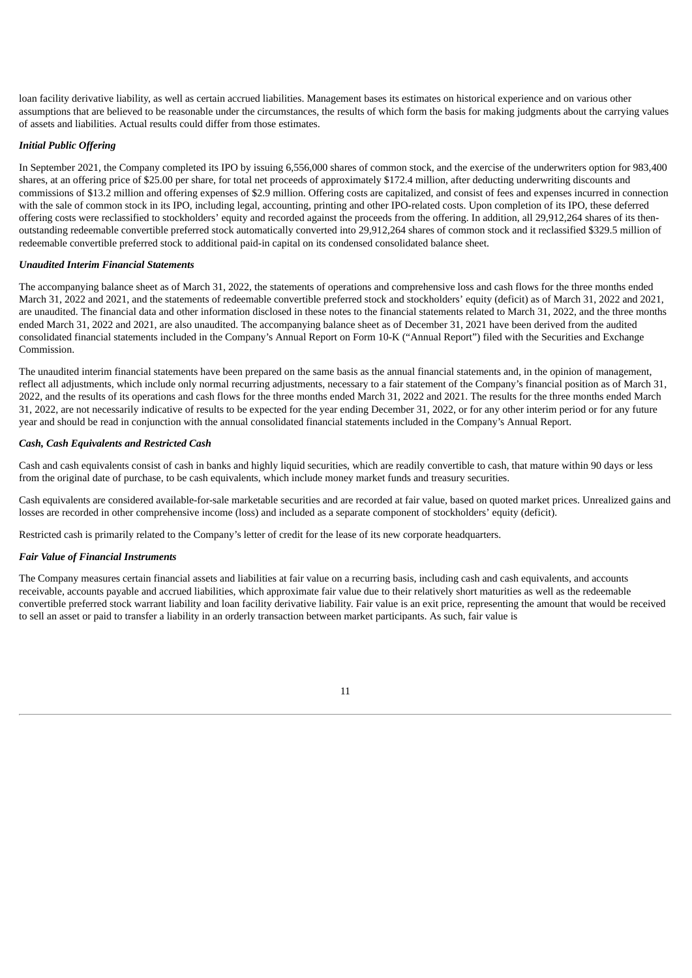loan facility derivative liability, as well as certain accrued liabilities. Management bases its estimates on historical experience and on various other assumptions that are believed to be reasonable under the circumstances, the results of which form the basis for making judgments about the carrying values of assets and liabilities. Actual results could differ from those estimates.

# *Initial Public Offering*

In September 2021, the Company completed its IPO by issuing 6,556,000 shares of common stock, and the exercise of the underwriters option for 983,400 shares, at an offering price of \$25.00 per share, for total net proceeds of approximately \$172.4 million, after deducting underwriting discounts and commissions of \$13.2 million and offering expenses of \$2.9 million. Offering costs are capitalized, and consist of fees and expenses incurred in connection with the sale of common stock in its IPO, including legal, accounting, printing and other IPO-related costs. Upon completion of its IPO, these deferred offering costs were reclassified to stockholders' equity and recorded against the proceeds from the offering. In addition, all 29,912,264 shares of its thenoutstanding redeemable convertible preferred stock automatically converted into 29,912,264 shares of common stock and it reclassified \$329.5 million of redeemable convertible preferred stock to additional paid-in capital on its condensed consolidated balance sheet.

### *Unaudited Interim Financial Statements*

The accompanying balance sheet as of March 31, 2022, the statements of operations and comprehensive loss and cash flows for the three months ended March 31, 2022 and 2021, and the statements of redeemable convertible preferred stock and stockholders' equity (deficit) as of March 31, 2022 and 2021, are unaudited. The financial data and other information disclosed in these notes to the financial statements related to March 31, 2022, and the three months ended March 31, 2022 and 2021, are also unaudited. The accompanying balance sheet as of December 31, 2021 have been derived from the audited consolidated financial statements included in the Company's Annual Report on Form 10-K ("Annual Report") filed with the Securities and Exchange Commission.

The unaudited interim financial statements have been prepared on the same basis as the annual financial statements and, in the opinion of management, reflect all adjustments, which include only normal recurring adjustments, necessary to a fair statement of the Company's financial position as of March 31, 2022, and the results of its operations and cash flows for the three months ended March 31, 2022 and 2021. The results for the three months ended March 31, 2022, are not necessarily indicative of results to be expected for the year ending December 31, 2022, or for any other interim period or for any future year and should be read in conjunction with the annual consolidated financial statements included in the Company's Annual Report.

### *Cash, Cash Equivalents and Restricted Cash*

Cash and cash equivalents consist of cash in banks and highly liquid securities, which are readily convertible to cash, that mature within 90 days or less from the original date of purchase, to be cash equivalents, which include money market funds and treasury securities.

Cash equivalents are considered available-for-sale marketable securities and are recorded at fair value, based on quoted market prices. Unrealized gains and losses are recorded in other comprehensive income (loss) and included as a separate component of stockholders' equity (deficit).

Restricted cash is primarily related to the Company's letter of credit for the lease of its new corporate headquarters.

#### *Fair Value of Financial Instruments*

The Company measures certain financial assets and liabilities at fair value on a recurring basis, including cash and cash equivalents, and accounts receivable, accounts payable and accrued liabilities, which approximate fair value due to their relatively short maturities as well as the redeemable convertible preferred stock warrant liability and loan facility derivative liability. Fair value is an exit price, representing the amount that would be received to sell an asset or paid to transfer a liability in an orderly transaction between market participants. As such, fair value is

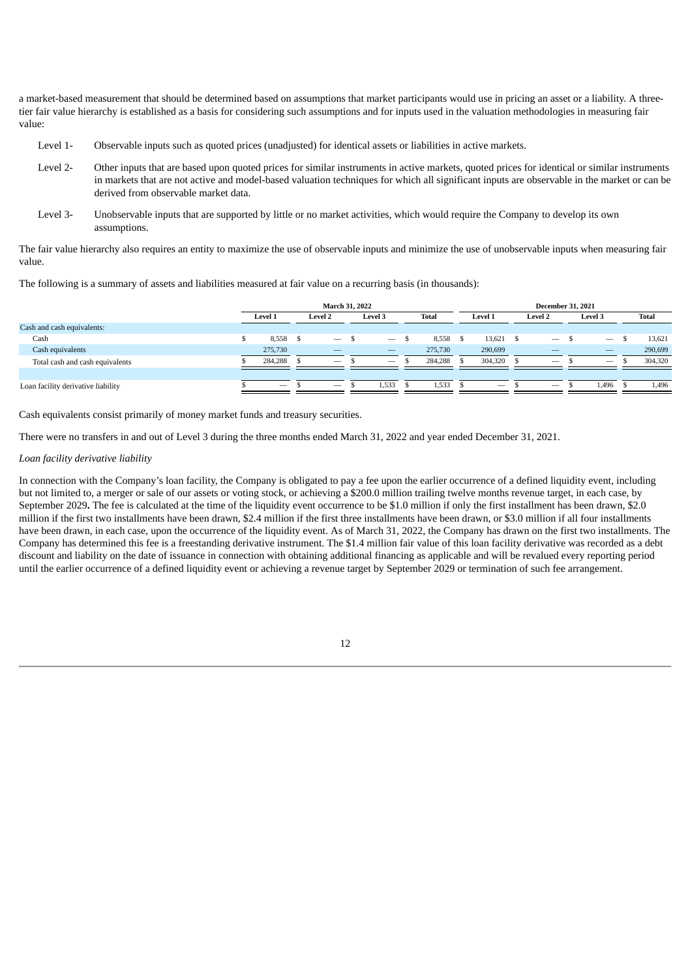a market-based measurement that should be determined based on assumptions that market participants would use in pricing an asset or a liability. A threetier fair value hierarchy is established as a basis for considering such assumptions and for inputs used in the valuation methodologies in measuring fair value:

- Level 1- Observable inputs such as quoted prices (unadjusted) for identical assets or liabilities in active markets.
- Level 2- Other inputs that are based upon quoted prices for similar instruments in active markets, quoted prices for identical or similar instruments in markets that are not active and model-based valuation techniques for which all significant inputs are observable in the market or can be derived from observable market data.
- Level 3- Unobservable inputs that are supported by little or no market activities, which would require the Company to develop its own assumptions.

The fair value hierarchy also requires an entity to maximize the use of observable inputs and minimize the use of unobservable inputs when measuring fair value.

The following is a summary of assets and liabilities measured at fair value on a recurring basis (in thousands):

|                                    | <b>March 31, 2022</b> |         |         |                          |      |                          |               | <b>December 31, 2021</b> |  |                                 |  |                                       |  |                          |  |         |
|------------------------------------|-----------------------|---------|---------|--------------------------|------|--------------------------|---------------|--------------------------|--|---------------------------------|--|---------------------------------------|--|--------------------------|--|---------|
|                                    |                       | Level 1 | Level 2 |                          |      | Level 3                  |               | <b>Total</b>             |  | Level 1                         |  | Level 2                               |  | <b>Level 3</b>           |  | Total   |
| Cash and cash equivalents:         |                       |         |         |                          |      |                          |               |                          |  |                                 |  |                                       |  |                          |  |         |
| Cash                               |                       | 8,558   | -S      | $\overline{\phantom{m}}$ | - 75 | $\overline{\phantom{m}}$ | $\mathcal{L}$ | 8,558                    |  | 13,621                          |  | $\overline{\phantom{m}}$              |  | $\overline{\phantom{m}}$ |  | 13,621  |
| Cash equivalents                   |                       | 275,730 |         | -                        |      |                          |               | 275,730                  |  | 290,699                         |  | -                                     |  |                          |  | 290,699 |
| Total cash and cash equivalents    |                       | 284,288 |         | $\overline{\phantom{m}}$ |      | $\overline{\phantom{0}}$ |               | 284.288                  |  | 304,320                         |  | $\overline{\phantom{m}}$              |  | $\overline{\phantom{a}}$ |  | 304,320 |
|                                    |                       |         |         |                          |      |                          |               |                          |  |                                 |  |                                       |  |                          |  |         |
| Loan facility derivative liability |                       |         |         |                          |      | 1,533                    |               | 1,533                    |  | $\hspace{0.1mm}-\hspace{0.1mm}$ |  | $\hspace{1.0cm} \rule{1.5cm}{0.15cm}$ |  | 1,496                    |  | 1,496   |

Cash equivalents consist primarily of money market funds and treasury securities.

There were no transfers in and out of Level 3 during the three months ended March 31, 2022 and year ended December 31, 2021.

#### *Loan facility derivative liability*

In connection with the Company's loan facility, the Company is obligated to pay a fee upon the earlier occurrence of a defined liquidity event, including but not limited to, a merger or sale of our assets or voting stock, or achieving a \$200.0 million trailing twelve months revenue target, in each case, by September 2029. The fee is calculated at the time of the liquidity event occurrence to be \$1.0 million if only the first installment has been drawn, \$2.0 million if the first two installments have been drawn, \$2.4 million if the first three installments have been drawn, or \$3.0 million if all four installments have been drawn, in each case, upon the occurrence of the liquidity event. As of March 31, 2022, the Company has drawn on the first two installments. The Company has determined this fee is a freestanding derivative instrument. The \$1.4 million fair value of this loan facility derivative was recorded as a debt discount and liability on the date of issuance in connection with obtaining additional financing as applicable and will be revalued every reporting period until the earlier occurrence of a defined liquidity event or achieving a revenue target by September 2029 or termination of such fee arrangement.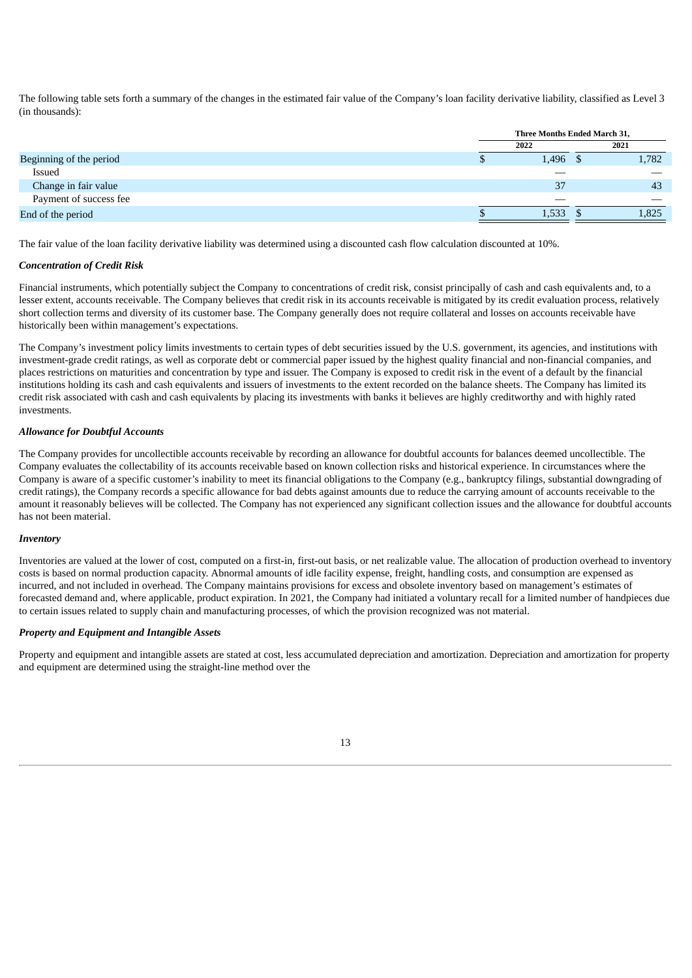The following table sets forth a summary of the changes in the estimated fair value of the Company's loan facility derivative liability, classified as Level 3 (in thousands):

|                         | Three Months Ended March 31, |       |  |       |  |
|-------------------------|------------------------------|-------|--|-------|--|
|                         |                              | 2022  |  | 2021  |  |
| Beginning of the period |                              | 1,496 |  | 1,782 |  |
| Issued                  |                              |       |  |       |  |
| Change in fair value    |                              | 37    |  | 43    |  |
| Payment of success fee  |                              | _     |  |       |  |
| End of the period       |                              | 1,533 |  | 1,825 |  |

The fair value of the loan facility derivative liability was determined using a discounted cash flow calculation discounted at 10%.

#### *Concentration of Credit Risk*

Financial instruments, which potentially subject the Company to concentrations of credit risk, consist principally of cash and cash equivalents and, to a lesser extent, accounts receivable. The Company believes that credit risk in its accounts receivable is mitigated by its credit evaluation process, relatively short collection terms and diversity of its customer base. The Company generally does not require collateral and losses on accounts receivable have historically been within management's expectations.

The Company's investment policy limits investments to certain types of debt securities issued by the U.S. government, its agencies, and institutions with investment-grade credit ratings, as well as corporate debt or commercial paper issued by the highest quality financial and non-financial companies, and places restrictions on maturities and concentration by type and issuer. The Company is exposed to credit risk in the event of a default by the financial institutions holding its cash and cash equivalents and issuers of investments to the extent recorded on the balance sheets. The Company has limited its credit risk associated with cash and cash equivalents by placing its investments with banks it believes are highly creditworthy and with highly rated investments.

### *Allowance for Doubtful Accounts*

The Company provides for uncollectible accounts receivable by recording an allowance for doubtful accounts for balances deemed uncollectible. The Company evaluates the collectability of its accounts receivable based on known collection risks and historical experience. In circumstances where the Company is aware of a specific customer's inability to meet its financial obligations to the Company (e.g., bankruptcy filings, substantial downgrading of credit ratings), the Company records a specific allowance for bad debts against amounts due to reduce the carrying amount of accounts receivable to the amount it reasonably believes will be collected. The Company has not experienced any significant collection issues and the allowance for doubtful accounts has not been material.

### *Inventory*

Inventories are valued at the lower of cost, computed on a first-in, first-out basis, or net realizable value. The allocation of production overhead to inventory costs is based on normal production capacity. Abnormal amounts of idle facility expense, freight, handling costs, and consumption are expensed as incurred, and not included in overhead. The Company maintains provisions for excess and obsolete inventory based on management's estimates of forecasted demand and, where applicable, product expiration. In 2021, the Company had initiated a voluntary recall for a limited number of handpieces due to certain issues related to supply chain and manufacturing processes, of which the provision recognized was not material.

# *Property and Equipment and Intangible Assets*

Property and equipment and intangible assets are stated at cost, less accumulated depreciation and amortization. Depreciation and amortization for property and equipment are determined using the straight-line method over the

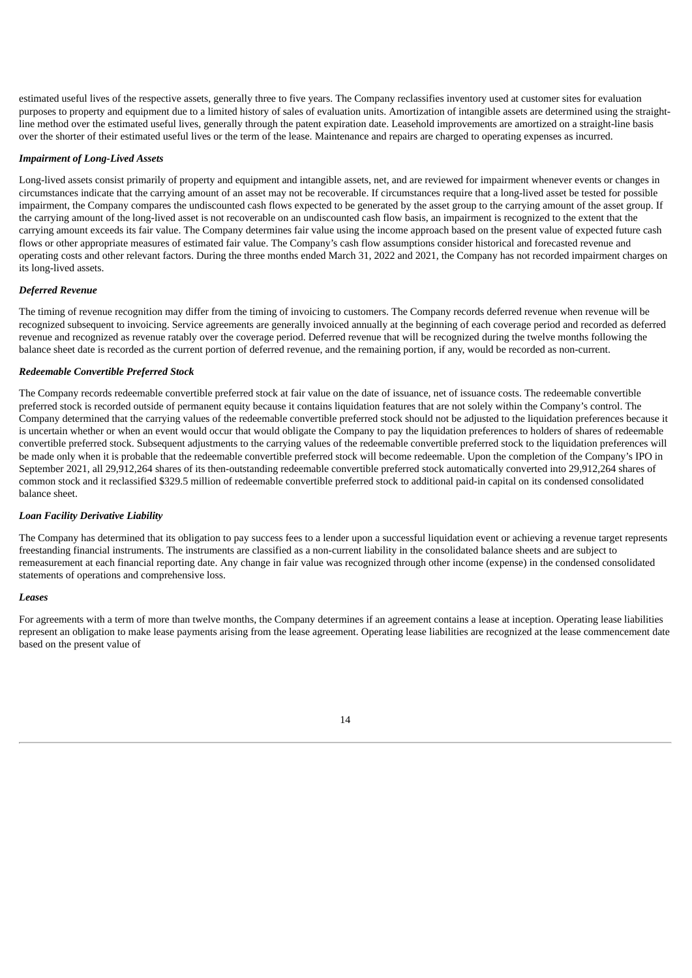estimated useful lives of the respective assets, generally three to five years. The Company reclassifies inventory used at customer sites for evaluation purposes to property and equipment due to a limited history of sales of evaluation units. Amortization of intangible assets are determined using the straightline method over the estimated useful lives, generally through the patent expiration date. Leasehold improvements are amortized on a straight-line basis over the shorter of their estimated useful lives or the term of the lease. Maintenance and repairs are charged to operating expenses as incurred.

## *Impairment of Long-Lived Assets*

Long-lived assets consist primarily of property and equipment and intangible assets, net, and are reviewed for impairment whenever events or changes in circumstances indicate that the carrying amount of an asset may not be recoverable. If circumstances require that a long-lived asset be tested for possible impairment, the Company compares the undiscounted cash flows expected to be generated by the asset group to the carrying amount of the asset group. If the carrying amount of the long-lived asset is not recoverable on an undiscounted cash flow basis, an impairment is recognized to the extent that the carrying amount exceeds its fair value. The Company determines fair value using the income approach based on the present value of expected future cash flows or other appropriate measures of estimated fair value. The Company's cash flow assumptions consider historical and forecasted revenue and operating costs and other relevant factors. During the three months ended March 31, 2022 and 2021, the Company has not recorded impairment charges on its long-lived assets.

# *Deferred Revenue*

The timing of revenue recognition may differ from the timing of invoicing to customers. The Company records deferred revenue when revenue will be recognized subsequent to invoicing. Service agreements are generally invoiced annually at the beginning of each coverage period and recorded as deferred revenue and recognized as revenue ratably over the coverage period. Deferred revenue that will be recognized during the twelve months following the balance sheet date is recorded as the current portion of deferred revenue, and the remaining portion, if any, would be recorded as non-current.

# *Redeemable Convertible Preferred Stock*

The Company records redeemable convertible preferred stock at fair value on the date of issuance, net of issuance costs. The redeemable convertible preferred stock is recorded outside of permanent equity because it contains liquidation features that are not solely within the Company's control. The Company determined that the carrying values of the redeemable convertible preferred stock should not be adjusted to the liquidation preferences because it is uncertain whether or when an event would occur that would obligate the Company to pay the liquidation preferences to holders of shares of redeemable convertible preferred stock. Subsequent adjustments to the carrying values of the redeemable convertible preferred stock to the liquidation preferences will be made only when it is probable that the redeemable convertible preferred stock will become redeemable. Upon the completion of the Company's IPO in September 2021, all 29,912,264 shares of its then-outstanding redeemable convertible preferred stock automatically converted into 29,912,264 shares of common stock and it reclassified \$329.5 million of redeemable convertible preferred stock to additional paid-in capital on its condensed consolidated balance sheet.

# *Loan Facility Derivative Liability*

The Company has determined that its obligation to pay success fees to a lender upon a successful liquidation event or achieving a revenue target represents freestanding financial instruments. The instruments are classified as a non-current liability in the consolidated balance sheets and are subject to remeasurement at each financial reporting date. Any change in fair value was recognized through other income (expense) in the condensed consolidated statements of operations and comprehensive loss.

### *Leases*

For agreements with a term of more than twelve months, the Company determines if an agreement contains a lease at inception. Operating lease liabilities represent an obligation to make lease payments arising from the lease agreement. Operating lease liabilities are recognized at the lease commencement date based on the present value of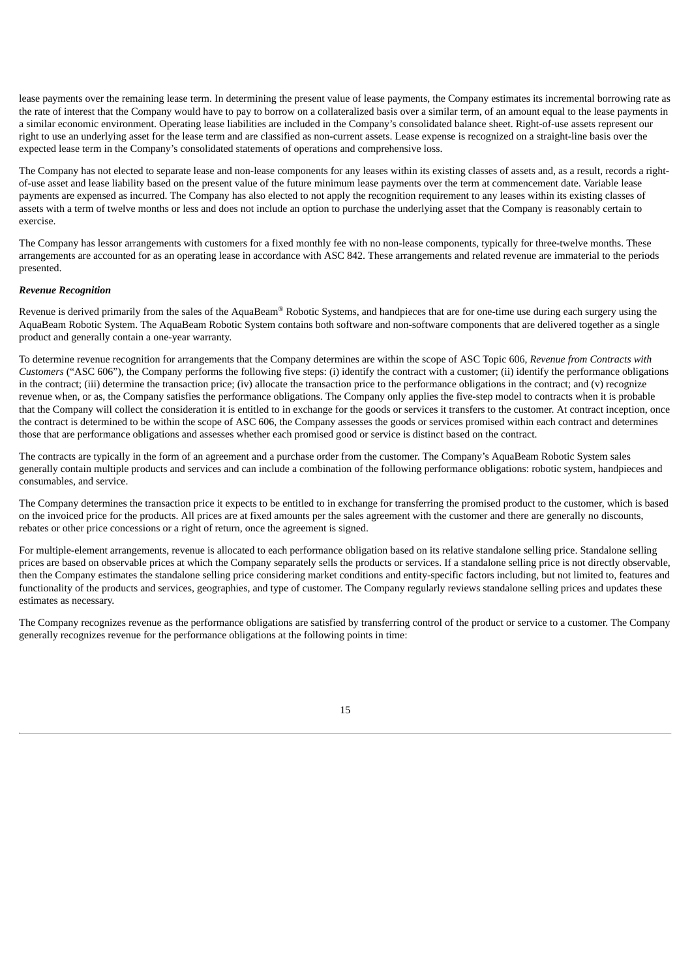lease payments over the remaining lease term. In determining the present value of lease payments, the Company estimates its incremental borrowing rate as the rate of interest that the Company would have to pay to borrow on a collateralized basis over a similar term, of an amount equal to the lease payments in a similar economic environment. Operating lease liabilities are included in the Company's consolidated balance sheet. Right-of-use assets represent our right to use an underlying asset for the lease term and are classified as non-current assets. Lease expense is recognized on a straight-line basis over the expected lease term in the Company's consolidated statements of operations and comprehensive loss.

The Company has not elected to separate lease and non-lease components for any leases within its existing classes of assets and, as a result, records a rightof-use asset and lease liability based on the present value of the future minimum lease payments over the term at commencement date. Variable lease payments are expensed as incurred. The Company has also elected to not apply the recognition requirement to any leases within its existing classes of assets with a term of twelve months or less and does not include an option to purchase the underlying asset that the Company is reasonably certain to exercise.

The Company has lessor arrangements with customers for a fixed monthly fee with no non-lease components, typically for three-twelve months. These arrangements are accounted for as an operating lease in accordance with ASC 842. These arrangements and related revenue are immaterial to the periods presented.

# *Revenue Recognition*

Revenue is derived primarily from the sales of the AquaBeam® Robotic Systems, and handpieces that are for one-time use during each surgery using the AquaBeam Robotic System. The AquaBeam Robotic System contains both software and non-software components that are delivered together as a single product and generally contain a one-year warranty.

To determine revenue recognition for arrangements that the Company determines are within the scope of ASC Topic 606, *Revenue from Contracts with Customers* ("ASC 606"), the Company performs the following five steps: (i) identify the contract with a customer; (ii) identify the performance obligations in the contract; (iii) determine the transaction price; (iv) allocate the transaction price to the performance obligations in the contract; and (v) recognize revenue when, or as, the Company satisfies the performance obligations. The Company only applies the five-step model to contracts when it is probable that the Company will collect the consideration it is entitled to in exchange for the goods or services it transfers to the customer. At contract inception, once the contract is determined to be within the scope of ASC 606, the Company assesses the goods or services promised within each contract and determines those that are performance obligations and assesses whether each promised good or service is distinct based on the contract.

The contracts are typically in the form of an agreement and a purchase order from the customer. The Company's AquaBeam Robotic System sales generally contain multiple products and services and can include a combination of the following performance obligations: robotic system, handpieces and consumables, and service.

The Company determines the transaction price it expects to be entitled to in exchange for transferring the promised product to the customer, which is based on the invoiced price for the products. All prices are at fixed amounts per the sales agreement with the customer and there are generally no discounts, rebates or other price concessions or a right of return, once the agreement is signed.

For multiple-element arrangements, revenue is allocated to each performance obligation based on its relative standalone selling price. Standalone selling prices are based on observable prices at which the Company separately sells the products or services. If a standalone selling price is not directly observable, then the Company estimates the standalone selling price considering market conditions and entity-specific factors including, but not limited to, features and functionality of the products and services, geographies, and type of customer. The Company regularly reviews standalone selling prices and updates these estimates as necessary.

The Company recognizes revenue as the performance obligations are satisfied by transferring control of the product or service to a customer. The Company generally recognizes revenue for the performance obligations at the following points in time:

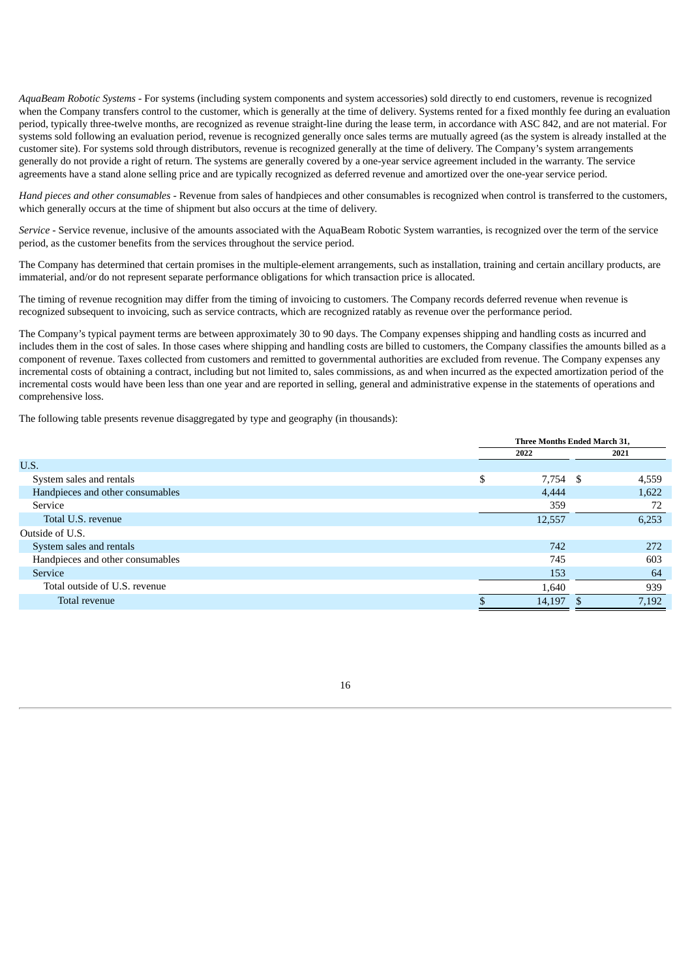*AquaBeam Robotic Systems* - For systems (including system components and system accessories) sold directly to end customers, revenue is recognized when the Company transfers control to the customer, which is generally at the time of delivery. Systems rented for a fixed monthly fee during an evaluation period, typically three-twelve months, are recognized as revenue straight-line during the lease term, in accordance with ASC 842, and are not material. For systems sold following an evaluation period, revenue is recognized generally once sales terms are mutually agreed (as the system is already installed at the customer site). For systems sold through distributors, revenue is recognized generally at the time of delivery. The Company's system arrangements generally do not provide a right of return. The systems are generally covered by a one-year service agreement included in the warranty. The service agreements have a stand alone selling price and are typically recognized as deferred revenue and amortized over the one-year service period.

*Hand pieces and other consumables* - Revenue from sales of handpieces and other consumables is recognized when control is transferred to the customers, which generally occurs at the time of shipment but also occurs at the time of delivery.

*Service* - Service revenue, inclusive of the amounts associated with the AquaBeam Robotic System warranties, is recognized over the term of the service period, as the customer benefits from the services throughout the service period.

The Company has determined that certain promises in the multiple-element arrangements, such as installation, training and certain ancillary products, are immaterial, and/or do not represent separate performance obligations for which transaction price is allocated.

The timing of revenue recognition may differ from the timing of invoicing to customers. The Company records deferred revenue when revenue is recognized subsequent to invoicing, such as service contracts, which are recognized ratably as revenue over the performance period.

The Company's typical payment terms are between approximately 30 to 90 days. The Company expenses shipping and handling costs as incurred and includes them in the cost of sales. In those cases where shipping and handling costs are billed to customers, the Company classifies the amounts billed as a component of revenue. Taxes collected from customers and remitted to governmental authorities are excluded from revenue. The Company expenses any incremental costs of obtaining a contract, including but not limited to, sales commissions, as and when incurred as the expected amortization period of the incremental costs would have been less than one year and are reported in selling, general and administrative expense in the statements of operations and comprehensive loss.

The following table presents revenue disaggregated by type and geography (in thousands):

| Three Months Ended March 31, |        |  |          |
|------------------------------|--------|--|----------|
|                              | 2022   |  | 2021     |
|                              |        |  |          |
| \$                           |        |  | 4,559    |
|                              | 4,444  |  | 1,622    |
|                              | 359    |  | 72       |
|                              | 12,557 |  | 6,253    |
|                              |        |  |          |
|                              | 742    |  | 272      |
|                              | 745    |  | 603      |
|                              | 153    |  | 64       |
|                              | 1,640  |  | 939      |
|                              | 14,197 |  | 7,192    |
|                              |        |  | 7,754 \$ |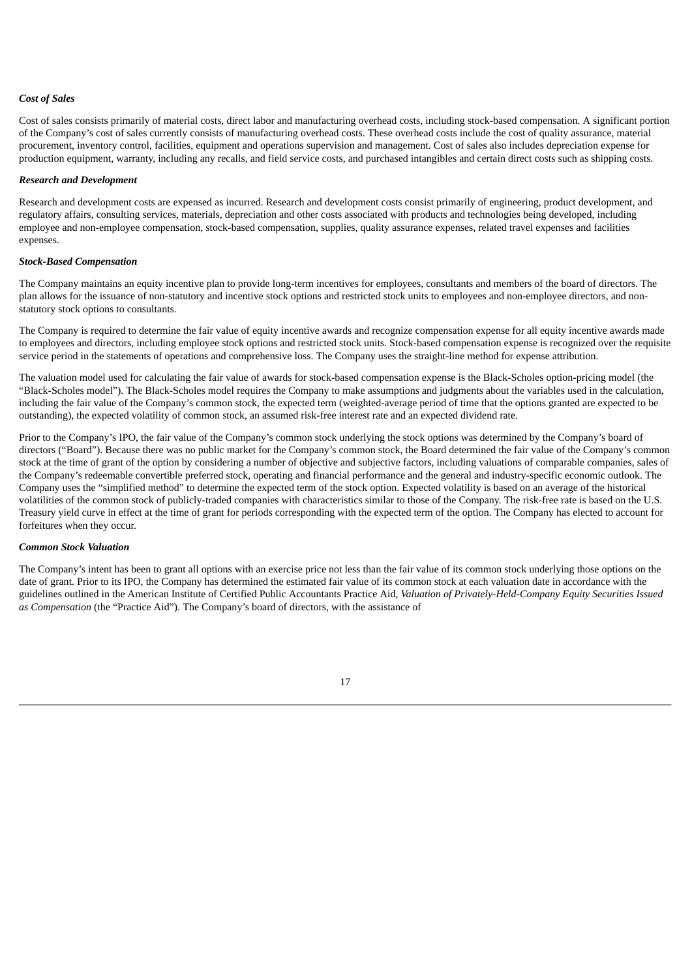### *Cost of Sales*

Cost of sales consists primarily of material costs, direct labor and manufacturing overhead costs, including stock-based compensation. A significant portion of the Company's cost of sales currently consists of manufacturing overhead costs. These overhead costs include the cost of quality assurance, material procurement, inventory control, facilities, equipment and operations supervision and management. Cost of sales also includes depreciation expense for production equipment, warranty, including any recalls, and field service costs, and purchased intangibles and certain direct costs such as shipping costs.

#### *Research and Development*

Research and development costs are expensed as incurred. Research and development costs consist primarily of engineering, product development, and regulatory affairs, consulting services, materials, depreciation and other costs associated with products and technologies being developed, including employee and non-employee compensation, stock-based compensation, supplies, quality assurance expenses, related travel expenses and facilities expenses.

# *Stock-Based Compensation*

The Company maintains an equity incentive plan to provide long-term incentives for employees, consultants and members of the board of directors. The plan allows for the issuance of non-statutory and incentive stock options and restricted stock units to employees and non-employee directors, and nonstatutory stock options to consultants.

The Company is required to determine the fair value of equity incentive awards and recognize compensation expense for all equity incentive awards made to employees and directors, including employee stock options and restricted stock units. Stock-based compensation expense is recognized over the requisite service period in the statements of operations and comprehensive loss. The Company uses the straight-line method for expense attribution.

The valuation model used for calculating the fair value of awards for stock-based compensation expense is the Black-Scholes option-pricing model (the "Black-Scholes model"). The Black-Scholes model requires the Company to make assumptions and judgments about the variables used in the calculation, including the fair value of the Company's common stock, the expected term (weighted-average period of time that the options granted are expected to be outstanding), the expected volatility of common stock, an assumed risk-free interest rate and an expected dividend rate.

Prior to the Company's IPO, the fair value of the Company's common stock underlying the stock options was determined by the Company's board of directors ("Board"). Because there was no public market for the Company's common stock, the Board determined the fair value of the Company's common stock at the time of grant of the option by considering a number of objective and subjective factors, including valuations of comparable companies, sales of the Company's redeemable convertible preferred stock, operating and financial performance and the general and industry-specific economic outlook. The Company uses the "simplified method" to determine the expected term of the stock option. Expected volatility is based on an average of the historical volatilities of the common stock of publicly-traded companies with characteristics similar to those of the Company. The risk-free rate is based on the U.S. Treasury yield curve in effect at the time of grant for periods corresponding with the expected term of the option. The Company has elected to account for forfeitures when they occur.

#### *Common Stock Valuation*

The Company's intent has been to grant all options with an exercise price not less than the fair value of its common stock underlying those options on the date of grant. Prior to its IPO, the Company has determined the estimated fair value of its common stock at each valuation date in accordance with the guidelines outlined in the American Institute of Certified Public Accountants Practice Aid, *Valuation of Privately-Held-Company Equity Securities Issued as Compensation* (the "Practice Aid"). The Company's board of directors, with the assistance of

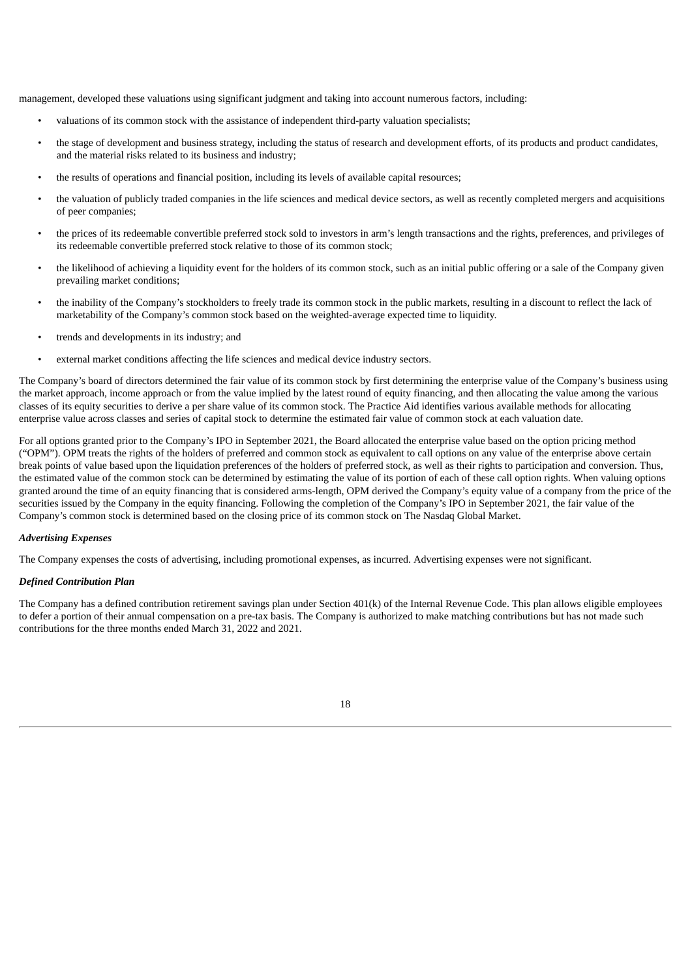management, developed these valuations using significant judgment and taking into account numerous factors, including:

- valuations of its common stock with the assistance of independent third-party valuation specialists;
- the stage of development and business strategy, including the status of research and development efforts, of its products and product candidates, and the material risks related to its business and industry;
- the results of operations and financial position, including its levels of available capital resources;
- the valuation of publicly traded companies in the life sciences and medical device sectors, as well as recently completed mergers and acquisitions of peer companies;
- the prices of its redeemable convertible preferred stock sold to investors in arm's length transactions and the rights, preferences, and privileges of its redeemable convertible preferred stock relative to those of its common stock;
- the likelihood of achieving a liquidity event for the holders of its common stock, such as an initial public offering or a sale of the Company given prevailing market conditions;
- the inability of the Company's stockholders to freely trade its common stock in the public markets, resulting in a discount to reflect the lack of marketability of the Company's common stock based on the weighted-average expected time to liquidity.
- trends and developments in its industry; and
- external market conditions affecting the life sciences and medical device industry sectors.

The Company's board of directors determined the fair value of its common stock by first determining the enterprise value of the Company's business using the market approach, income approach or from the value implied by the latest round of equity financing, and then allocating the value among the various classes of its equity securities to derive a per share value of its common stock. The Practice Aid identifies various available methods for allocating enterprise value across classes and series of capital stock to determine the estimated fair value of common stock at each valuation date.

For all options granted prior to the Company's IPO in September 2021, the Board allocated the enterprise value based on the option pricing method ("OPM"). OPM treats the rights of the holders of preferred and common stock as equivalent to call options on any value of the enterprise above certain break points of value based upon the liquidation preferences of the holders of preferred stock, as well as their rights to participation and conversion. Thus, the estimated value of the common stock can be determined by estimating the value of its portion of each of these call option rights. When valuing options granted around the time of an equity financing that is considered arms-length, OPM derived the Company's equity value of a company from the price of the securities issued by the Company in the equity financing. Following the completion of the Company's IPO in September 2021, the fair value of the Company's common stock is determined based on the closing price of its common stock on The Nasdaq Global Market.

# *Advertising Expenses*

The Company expenses the costs of advertising, including promotional expenses, as incurred. Advertising expenses were not significant.

### *Defined Contribution Plan*

The Company has a defined contribution retirement savings plan under Section 401(k) of the Internal Revenue Code. This plan allows eligible employees to defer a portion of their annual compensation on a pre-tax basis. The Company is authorized to make matching contributions but has not made such contributions for the three months ended March 31, 2022 and 2021.

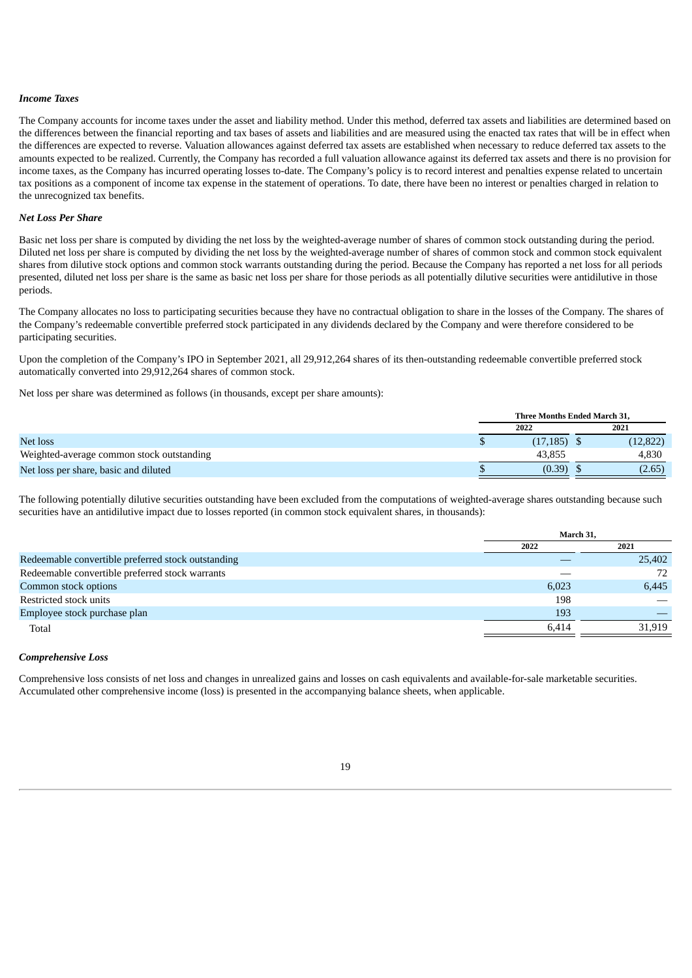### *Income Taxes*

The Company accounts for income taxes under the asset and liability method. Under this method, deferred tax assets and liabilities are determined based on the differences between the financial reporting and tax bases of assets and liabilities and are measured using the enacted tax rates that will be in effect when the differences are expected to reverse. Valuation allowances against deferred tax assets are established when necessary to reduce deferred tax assets to the amounts expected to be realized. Currently, the Company has recorded a full valuation allowance against its deferred tax assets and there is no provision for income taxes, as the Company has incurred operating losses to-date. The Company's policy is to record interest and penalties expense related to uncertain tax positions as a component of income tax expense in the statement of operations. To date, there have been no interest or penalties charged in relation to the unrecognized tax benefits.

#### *Net Loss Per Share*

Basic net loss per share is computed by dividing the net loss by the weighted-average number of shares of common stock outstanding during the period. Diluted net loss per share is computed by dividing the net loss by the weighted-average number of shares of common stock and common stock equivalent shares from dilutive stock options and common stock warrants outstanding during the period. Because the Company has reported a net loss for all periods presented, diluted net loss per share is the same as basic net loss per share for those periods as all potentially dilutive securities were antidilutive in those periods.

The Company allocates no loss to participating securities because they have no contractual obligation to share in the losses of the Company. The shares of the Company's redeemable convertible preferred stock participated in any dividends declared by the Company and were therefore considered to be participating securities.

Upon the completion of the Company's IPO in September 2021, all 29,912,264 shares of its then-outstanding redeemable convertible preferred stock automatically converted into 29,912,264 shares of common stock.

Net loss per share was determined as follows (in thousands, except per share amounts):

|                                           | <b>Three Months Ended March 31.</b> |  |           |  |  |
|-------------------------------------------|-------------------------------------|--|-----------|--|--|
|                                           | 2022                                |  | 2021      |  |  |
| Net loss                                  | (17, 185)                           |  | (12, 822) |  |  |
| Weighted-average common stock outstanding | 43.855                              |  | 4.830     |  |  |
| Net loss per share, basic and diluted     | (0.39)                              |  | (2.65)    |  |  |

The following potentially dilutive securities outstanding have been excluded from the computations of weighted-average shares outstanding because such securities have an antidilutive impact due to losses reported (in common stock equivalent shares, in thousands):

|                                                    | March 31, |        |  |
|----------------------------------------------------|-----------|--------|--|
|                                                    | 2022      | 2021   |  |
| Redeemable convertible preferred stock outstanding |           | 25,402 |  |
| Redeemable convertible preferred stock warrants    |           | 72     |  |
| Common stock options                               | 6,023     | 6,445  |  |
| Restricted stock units                             | 198       |        |  |
| Employee stock purchase plan                       | 193       |        |  |
| Total                                              | 6.414     | 31,919 |  |

#### *Comprehensive Loss*

Comprehensive loss consists of net loss and changes in unrealized gains and losses on cash equivalents and available-for-sale marketable securities. Accumulated other comprehensive income (loss) is presented in the accompanying balance sheets, when applicable.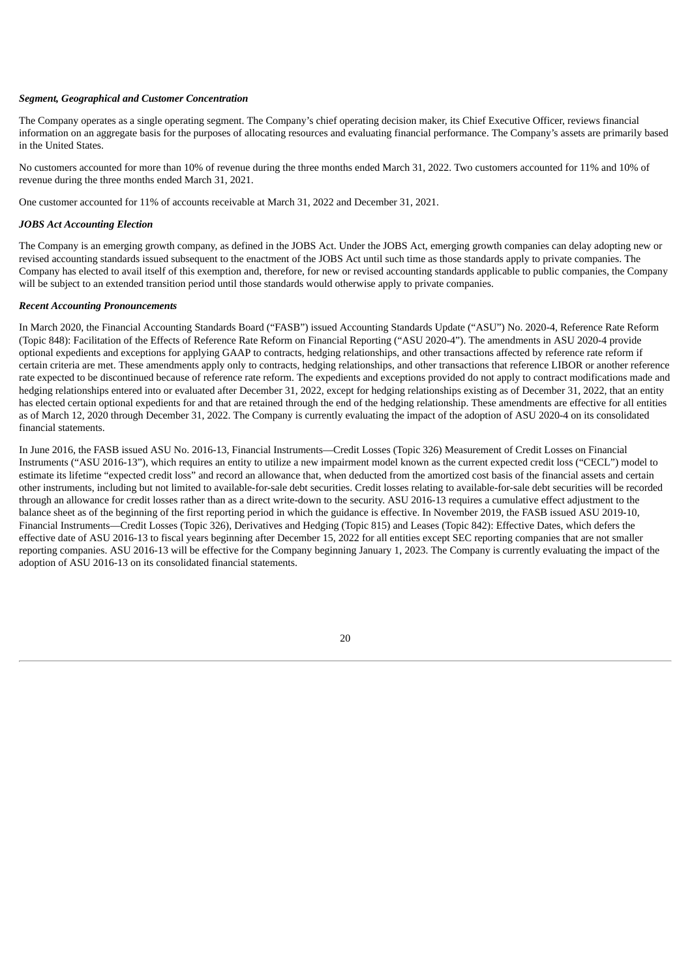### *Segment, Geographical and Customer Concentration*

The Company operates as a single operating segment. The Company's chief operating decision maker, its Chief Executive Officer, reviews financial information on an aggregate basis for the purposes of allocating resources and evaluating financial performance. The Company's assets are primarily based in the United States.

No customers accounted for more than 10% of revenue during the three months ended March 31, 2022. Two customers accounted for 11% and 10% of revenue during the three months ended March 31, 2021.

One customer accounted for 11% of accounts receivable at March 31, 2022 and December 31, 2021.

#### *JOBS Act Accounting Election*

The Company is an emerging growth company, as defined in the JOBS Act. Under the JOBS Act, emerging growth companies can delay adopting new or revised accounting standards issued subsequent to the enactment of the JOBS Act until such time as those standards apply to private companies. The Company has elected to avail itself of this exemption and, therefore, for new or revised accounting standards applicable to public companies, the Company will be subject to an extended transition period until those standards would otherwise apply to private companies.

#### *Recent Accounting Pronouncements*

In March 2020, the Financial Accounting Standards Board ("FASB") issued Accounting Standards Update ("ASU") No. 2020-4, Reference Rate Reform (Topic 848): Facilitation of the Effects of Reference Rate Reform on Financial Reporting ("ASU 2020-4"). The amendments in ASU 2020-4 provide optional expedients and exceptions for applying GAAP to contracts, hedging relationships, and other transactions affected by reference rate reform if certain criteria are met. These amendments apply only to contracts, hedging relationships, and other transactions that reference LIBOR or another reference rate expected to be discontinued because of reference rate reform. The expedients and exceptions provided do not apply to contract modifications made and hedging relationships entered into or evaluated after December 31, 2022, except for hedging relationships existing as of December 31, 2022, that an entity has elected certain optional expedients for and that are retained through the end of the hedging relationship. These amendments are effective for all entities as of March 12, 2020 through December 31, 2022. The Company is currently evaluating the impact of the adoption of ASU 2020-4 on its consolidated financial statements.

In June 2016, the FASB issued ASU No. 2016-13, Financial Instruments—Credit Losses (Topic 326) Measurement of Credit Losses on Financial Instruments ("ASU 2016-13"), which requires an entity to utilize a new impairment model known as the current expected credit loss ("CECL") model to estimate its lifetime "expected credit loss" and record an allowance that, when deducted from the amortized cost basis of the financial assets and certain other instruments, including but not limited to available-for-sale debt securities. Credit losses relating to available-for-sale debt securities will be recorded through an allowance for credit losses rather than as a direct write-down to the security. ASU 2016-13 requires a cumulative effect adjustment to the balance sheet as of the beginning of the first reporting period in which the guidance is effective. In November 2019, the FASB issued ASU 2019-10, Financial Instruments—Credit Losses (Topic 326), Derivatives and Hedging (Topic 815) and Leases (Topic 842): Effective Dates, which defers the effective date of ASU 2016-13 to fiscal years beginning after December 15, 2022 for all entities except SEC reporting companies that are not smaller reporting companies. ASU 2016-13 will be effective for the Company beginning January 1, 2023. The Company is currently evaluating the impact of the adoption of ASU 2016-13 on its consolidated financial statements.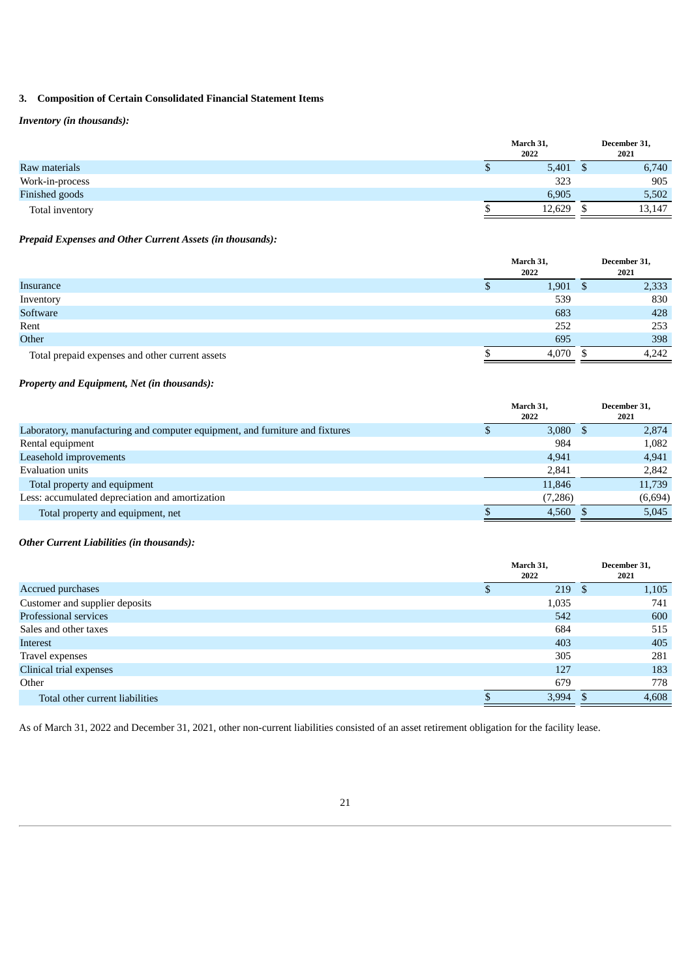# **3. Composition of Certain Consolidated Financial Statement Items**

# *Inventory (in thousands):*

| March 31,<br>2022 | December 31,<br>2021 |  |
|-------------------|----------------------|--|
| 5,401<br>Φ        | 6,740                |  |
| 323               | 905                  |  |
| 6,905             | 5,502                |  |
| 12,629            | 13,147               |  |
|                   |                      |  |

# *Prepaid Expenses and Other Current Assets (in thousands):*

|                                                 |   | March 31,<br>2022 | December 31,<br>2021 |
|-------------------------------------------------|---|-------------------|----------------------|
| Insurance                                       | Φ | 1,901             | 2,333                |
| Inventory                                       |   | 539               | 830                  |
| Software                                        |   | 683               | 428                  |
| Rent                                            |   | 252               | 253                  |
| Other                                           |   | 695               | 398                  |
| Total prepaid expenses and other current assets |   | 4,070             | 4,242                |

# *Property and Equipment, Net (in thousands):*

|                                                                              | March 31,<br>2022 | December 31,<br>2021 |
|------------------------------------------------------------------------------|-------------------|----------------------|
| Laboratory, manufacturing and computer equipment, and furniture and fixtures | $3,080$ \$        | 2,874                |
| Rental equipment                                                             | 984               | 1,082                |
| Leasehold improvements                                                       | 4.941             | 4.941                |
| Evaluation units                                                             | 2,841             | 2,842                |
| Total property and equipment                                                 | 11.846            | 11,739               |
| Less: accumulated depreciation and amortization                              | (7,286)           | (6,694)              |
| Total property and equipment, net                                            | $4,560$ \$        | 5,045                |

# *Other Current Liabilities (in thousands):*

|                                 | March 31,<br>2022 | December 31,<br>2021 |
|---------------------------------|-------------------|----------------------|
| Accrued purchases               | 219S              | 1,105                |
| Customer and supplier deposits  | 1,035             | 741                  |
| Professional services           | 542               | 600                  |
| Sales and other taxes           | 684               | 515                  |
| Interest                        | 403               | 405                  |
| Travel expenses                 | 305               | 281                  |
| Clinical trial expenses         | 127               | 183                  |
| Other                           | 679               | 778                  |
| Total other current liabilities | 3,994             | 4,608                |

As of March 31, 2022 and December 31, 2021, other non-current liabilities consisted of an asset retirement obligation for the facility lease.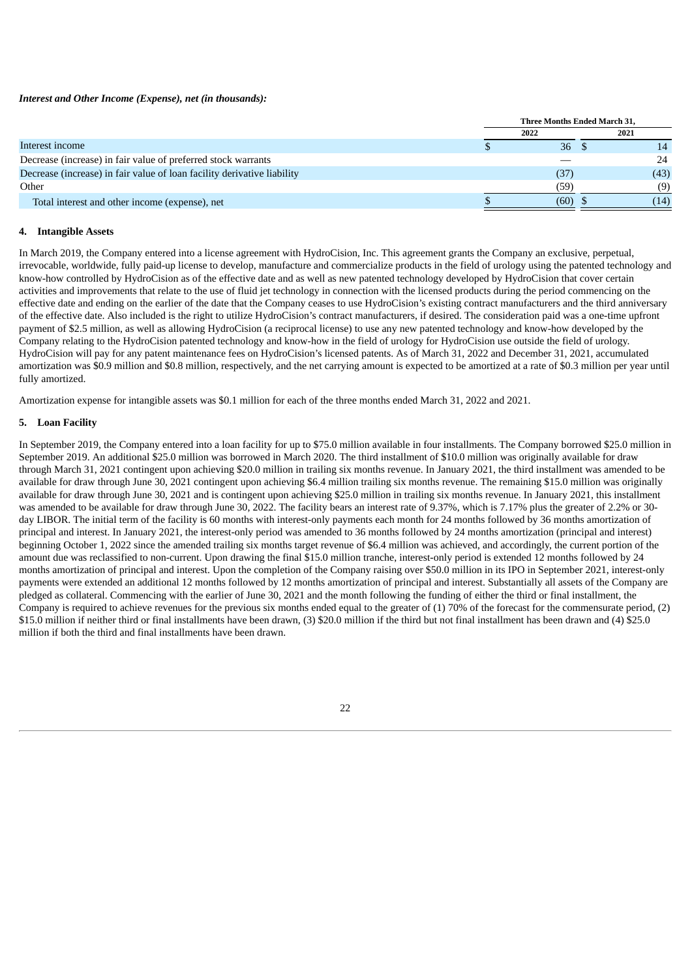### *Interest and Other Income (Expense), net (in thousands):*

|                                                                         | <b>Three Months Ended March 31.</b> |                 |  |      |
|-------------------------------------------------------------------------|-------------------------------------|-----------------|--|------|
|                                                                         |                                     | 2022            |  | 2021 |
| Interest income                                                         |                                     | 36 <sup>5</sup> |  | 14   |
| Decrease (increase) in fair value of preferred stock warrants           |                                     |                 |  | 24   |
| Decrease (increase) in fair value of loan facility derivative liability |                                     | (37)            |  | (43) |
| Other                                                                   |                                     | (59)            |  | (9)  |
| Total interest and other income (expense), net                          |                                     | (60)            |  | (14) |

### **4. Intangible Assets**

In March 2019, the Company entered into a license agreement with HydroCision, Inc. This agreement grants the Company an exclusive, perpetual, irrevocable, worldwide, fully paid-up license to develop, manufacture and commercialize products in the field of urology using the patented technology and know-how controlled by HydroCision as of the effective date and as well as new patented technology developed by HydroCision that cover certain activities and improvements that relate to the use of fluid jet technology in connection with the licensed products during the period commencing on the effective date and ending on the earlier of the date that the Company ceases to use HydroCision's existing contract manufacturers and the third anniversary of the effective date. Also included is the right to utilize HydroCision's contract manufacturers, if desired. The consideration paid was a one-time upfront payment of \$2.5 million, as well as allowing HydroCision (a reciprocal license) to use any new patented technology and know-how developed by the Company relating to the HydroCision patented technology and know-how in the field of urology for HydroCision use outside the field of urology. HydroCision will pay for any patent maintenance fees on HydroCision's licensed patents. As of March 31, 2022 and December 31, 2021, accumulated amortization was \$0.9 million and \$0.8 million, respectively, and the net carrying amount is expected to be amortized at a rate of \$0.3 million per year until fully amortized.

Amortization expense for intangible assets was \$0.1 million for each of the three months ended March 31, 2022 and 2021.

### **5. Loan Facility**

In September 2019, the Company entered into a loan facility for up to \$75.0 million available in four installments. The Company borrowed \$25.0 million in September 2019. An additional \$25.0 million was borrowed in March 2020. The third installment of \$10.0 million was originally available for draw through March 31, 2021 contingent upon achieving \$20.0 million in trailing six months revenue. In January 2021, the third installment was amended to be available for draw through June 30, 2021 contingent upon achieving \$6.4 million trailing six months revenue. The remaining \$15.0 million was originally available for draw through June 30, 2021 and is contingent upon achieving \$25.0 million in trailing six months revenue. In January 2021, this installment was amended to be available for draw through June 30, 2022. The facility bears an interest rate of 9.37%, which is 7.17% plus the greater of 2.2% or 30 day LIBOR. The initial term of the facility is 60 months with interest-only payments each month for 24 months followed by 36 months amortization of principal and interest. In January 2021, the interest-only period was amended to 36 months followed by 24 months amortization (principal and interest) beginning October 1, 2022 since the amended trailing six months target revenue of \$6.4 million was achieved, and accordingly, the current portion of the amount due was reclassified to non-current. Upon drawing the final \$15.0 million tranche, interest-only period is extended 12 months followed by 24 months amortization of principal and interest. Upon the completion of the Company raising over \$50.0 million in its IPO in September 2021, interest-only payments were extended an additional 12 months followed by 12 months amortization of principal and interest. Substantially all assets of the Company are pledged as collateral. Commencing with the earlier of June 30, 2021 and the month following the funding of either the third or final installment, the Company is required to achieve revenues for the previous six months ended equal to the greater of (1) 70% of the forecast for the commensurate period, (2) \$15.0 million if neither third or final installments have been drawn, (3) \$20.0 million if the third but not final installment has been drawn and (4) \$25.0 million if both the third and final installments have been drawn.

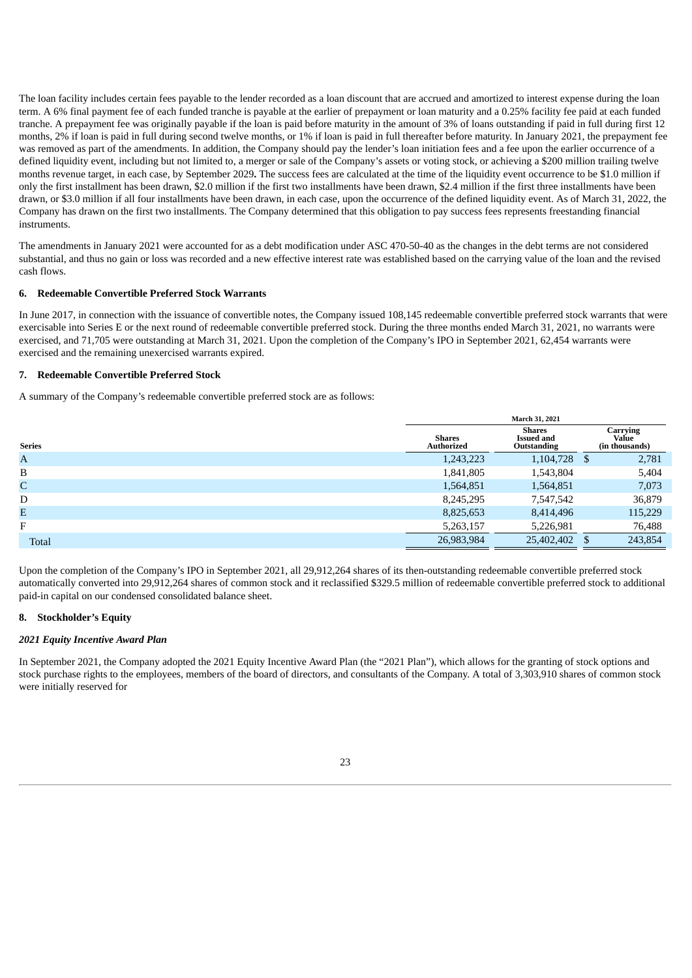The loan facility includes certain fees payable to the lender recorded as a loan discount that are accrued and amortized to interest expense during the loan term. A 6% final payment fee of each funded tranche is payable at the earlier of prepayment or loan maturity and a 0.25% facility fee paid at each funded tranche. A prepayment fee was originally payable if the loan is paid before maturity in the amount of 3% of loans outstanding if paid in full during first 12 months, 2% if loan is paid in full during second twelve months, or 1% if loan is paid in full thereafter before maturity. In January 2021, the prepayment fee was removed as part of the amendments. In addition, the Company should pay the lender's loan initiation fees and a fee upon the earlier occurrence of a defined liquidity event, including but not limited to, a merger or sale of the Company's assets or voting stock, or achieving a \$200 million trailing twelve months revenue target, in each case, by September 2029**.** The success fees are calculated at the time of the liquidity event occurrence to be \$1.0 million if only the first installment has been drawn, \$2.0 million if the first two installments have been drawn, \$2.4 million if the first three installments have been drawn, or \$3.0 million if all four installments have been drawn, in each case, upon the occurrence of the defined liquidity event. As of March 31, 2022, the Company has drawn on the first two installments. The Company determined that this obligation to pay success fees represents freestanding financial instruments.

The amendments in January 2021 were accounted for as a debt modification under ASC 470-50-40 as the changes in the debt terms are not considered substantial, and thus no gain or loss was recorded and a new effective interest rate was established based on the carrying value of the loan and the revised cash flows.

### **6. Redeemable Convertible Preferred Stock Warrants**

In June 2017, in connection with the issuance of convertible notes, the Company issued 108,145 redeemable convertible preferred stock warrants that were exercisable into Series E or the next round of redeemable convertible preferred stock. During the three months ended March 31, 2021, no warrants were exercised, and 71,705 were outstanding at March 31, 2021. Upon the completion of the Company's IPO in September 2021, 62,454 warrants were exercised and the remaining unexercised warrants expired.

# **7. Redeemable Convertible Preferred Stock**

A summary of the Company's redeemable convertible preferred stock are as follows:

|               | March 31, 2021                     |                                            |    |                                     |
|---------------|------------------------------------|--------------------------------------------|----|-------------------------------------|
| <b>Series</b> | <b>Shares</b><br><b>Authorized</b> | Shares<br><b>Issued and</b><br>Outstanding |    | Carrying<br>Value<br>(in thousands) |
| $\mathbf{A}$  | 1,243,223                          | 1,104,728                                  | -S | 2,781                               |
| B             | 1,841,805                          | 1,543,804                                  |    | 5,404                               |
| C             | 1,564,851                          | 1,564,851                                  |    | 7,073                               |
| D             | 8,245,295                          | 7,547,542                                  |    | 36,879                              |
| E             | 8,825,653                          | 8,414,496                                  |    | 115,229                             |
| F             | 5,263,157                          | 5,226,981                                  |    | 76,488                              |
| <b>Total</b>  | 26,983,984                         | 25,402,402                                 | \$ | 243,854                             |

Upon the completion of the Company's IPO in September 2021, all 29,912,264 shares of its then-outstanding redeemable convertible preferred stock automatically converted into 29,912,264 shares of common stock and it reclassified \$329.5 million of redeemable convertible preferred stock to additional paid-in capital on our condensed consolidated balance sheet.

# **8. Stockholder's Equity**

### *2021 Equity Incentive Award Plan*

In September 2021, the Company adopted the 2021 Equity Incentive Award Plan (the "2021 Plan"), which allows for the granting of stock options and stock purchase rights to the employees, members of the board of directors, and consultants of the Company. A total of 3,303,910 shares of common stock were initially reserved for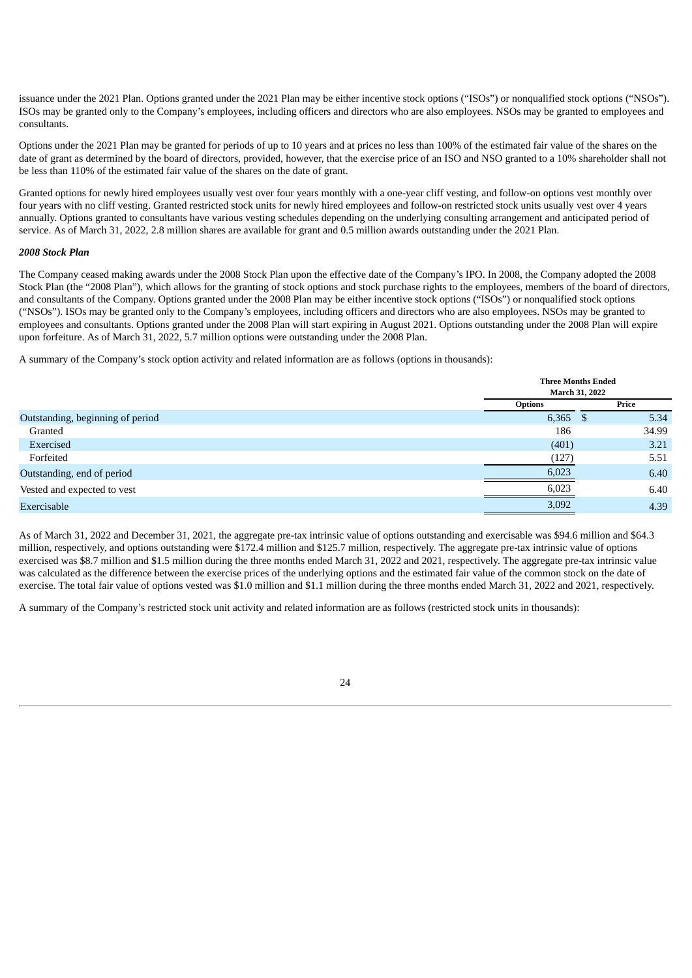issuance under the 2021 Plan. Options granted under the 2021 Plan may be either incentive stock options ("ISOs") or nonqualified stock options ("NSOs"). ISOs may be granted only to the Company's employees, including officers and directors who are also employees. NSOs may be granted to employees and consultants.

Options under the 2021 Plan may be granted for periods of up to 10 years and at prices no less than 100% of the estimated fair value of the shares on the date of grant as determined by the board of directors, provided, however, that the exercise price of an ISO and NSO granted to a 10% shareholder shall not be less than 110% of the estimated fair value of the shares on the date of grant.

Granted options for newly hired employees usually vest over four years monthly with a one-year cliff vesting, and follow-on options vest monthly over four years with no cliff vesting. Granted restricted stock units for newly hired employees and follow-on restricted stock units usually vest over 4 years annually. Options granted to consultants have various vesting schedules depending on the underlying consulting arrangement and anticipated period of service. As of March 31, 2022, 2.8 million shares are available for grant and 0.5 million awards outstanding under the 2021 Plan.

### *2008 Stock Plan*

The Company ceased making awards under the 2008 Stock Plan upon the effective date of the Company's IPO. In 2008, the Company adopted the 2008 Stock Plan (the "2008 Plan"), which allows for the granting of stock options and stock purchase rights to the employees, members of the board of directors, and consultants of the Company. Options granted under the 2008 Plan may be either incentive stock options ("ISOs") or nonqualified stock options ("NSOs"). ISOs may be granted only to the Company's employees, including officers and directors who are also employees. NSOs may be granted to employees and consultants. Options granted under the 2008 Plan will start expiring in August 2021. Options outstanding under the 2008 Plan will expire upon forfeiture. As of March 31, 2022, 5.7 million options were outstanding under the 2008 Plan.

A summary of the Company's stock option activity and related information are as follows (options in thousands):

|                                  |                | <b>Three Months Ended</b><br><b>March 31, 2022</b> |  |  |
|----------------------------------|----------------|----------------------------------------------------|--|--|
|                                  | <b>Options</b> | Price                                              |  |  |
| Outstanding, beginning of period | 6,365 \$       | 5.34                                               |  |  |
| Granted                          | 186            | 34.99                                              |  |  |
| Exercised                        | (401)          | 3.21                                               |  |  |
| Forfeited                        | (127)          | 5.51                                               |  |  |
| Outstanding, end of period       | 6,023          | 6.40                                               |  |  |
| Vested and expected to vest      | 6,023          | 6.40                                               |  |  |
| Exercisable                      | 3,092          | 4.39                                               |  |  |

As of March 31, 2022 and December 31, 2021, the aggregate pre-tax intrinsic value of options outstanding and exercisable was \$94.6 million and \$64.3 million, respectively, and options outstanding were \$172.4 million and \$125.7 million, respectively. The aggregate pre-tax intrinsic value of options exercised was \$8.7 million and \$1.5 million during the three months ended March 31, 2022 and 2021, respectively. The aggregate pre-tax intrinsic value was calculated as the difference between the exercise prices of the underlying options and the estimated fair value of the common stock on the date of exercise. The total fair value of options vested was \$1.0 million and \$1.1 million during the three months ended March 31, 2022 and 2021, respectively.

A summary of the Company's restricted stock unit activity and related information are as follows (restricted stock units in thousands):

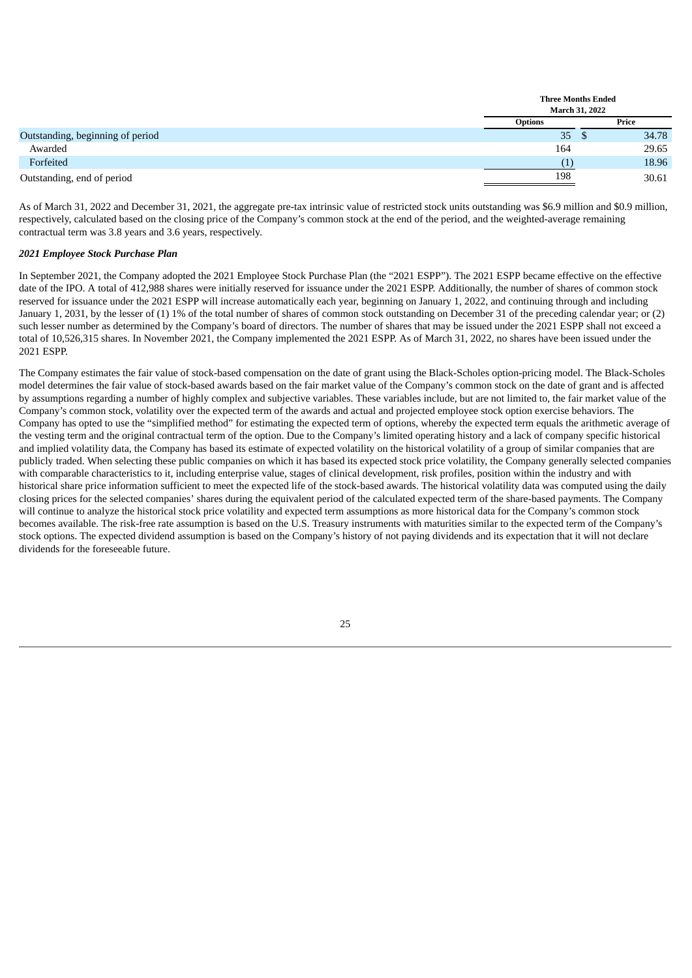|                                  | Three Months Ended<br><b>March 31, 2022</b> |  |       |
|----------------------------------|---------------------------------------------|--|-------|
|                                  | <b>Options</b>                              |  | Price |
| Outstanding, beginning of period | 35                                          |  | 34.78 |
| Awarded                          | 164                                         |  | 29.65 |
| Forfeited                        |                                             |  | 18.96 |
| Outstanding, end of period       | 198                                         |  | 30.61 |

**Three Months Ended**

As of March 31, 2022 and December 31, 2021, the aggregate pre-tax intrinsic value of restricted stock units outstanding was \$6.9 million and \$0.9 million, respectively, calculated based on the closing price of the Company's common stock at the end of the period, and the weighted-average remaining contractual term was 3.8 years and 3.6 years, respectively.

### *2021 Employee Stock Purchase Plan*

In September 2021, the Company adopted the 2021 Employee Stock Purchase Plan (the "2021 ESPP"). The 2021 ESPP became effective on the effective date of the IPO. A total of 412,988 shares were initially reserved for issuance under the 2021 ESPP. Additionally, the number of shares of common stock reserved for issuance under the 2021 ESPP will increase automatically each year, beginning on January 1, 2022, and continuing through and including January 1, 2031, by the lesser of (1) 1% of the total number of shares of common stock outstanding on December 31 of the preceding calendar year; or (2) such lesser number as determined by the Company's board of directors. The number of shares that may be issued under the 2021 ESPP shall not exceed a total of 10,526,315 shares. In November 2021, the Company implemented the 2021 ESPP. As of March 31, 2022, no shares have been issued under the 2021 ESPP.

The Company estimates the fair value of stock-based compensation on the date of grant using the Black-Scholes option-pricing model. The Black-Scholes model determines the fair value of stock-based awards based on the fair market value of the Company's common stock on the date of grant and is affected by assumptions regarding a number of highly complex and subjective variables. These variables include, but are not limited to, the fair market value of the Company's common stock, volatility over the expected term of the awards and actual and projected employee stock option exercise behaviors. The Company has opted to use the "simplified method" for estimating the expected term of options, whereby the expected term equals the arithmetic average of the vesting term and the original contractual term of the option. Due to the Company's limited operating history and a lack of company specific historical and implied volatility data, the Company has based its estimate of expected volatility on the historical volatility of a group of similar companies that are publicly traded. When selecting these public companies on which it has based its expected stock price volatility, the Company generally selected companies with comparable characteristics to it, including enterprise value, stages of clinical development, risk profiles, position within the industry and with historical share price information sufficient to meet the expected life of the stock-based awards. The historical volatility data was computed using the daily closing prices for the selected companies' shares during the equivalent period of the calculated expected term of the share-based payments. The Company will continue to analyze the historical stock price volatility and expected term assumptions as more historical data for the Company's common stock becomes available. The risk-free rate assumption is based on the U.S. Treasury instruments with maturities similar to the expected term of the Company's stock options. The expected dividend assumption is based on the Company's history of not paying dividends and its expectation that it will not declare dividends for the foreseeable future.

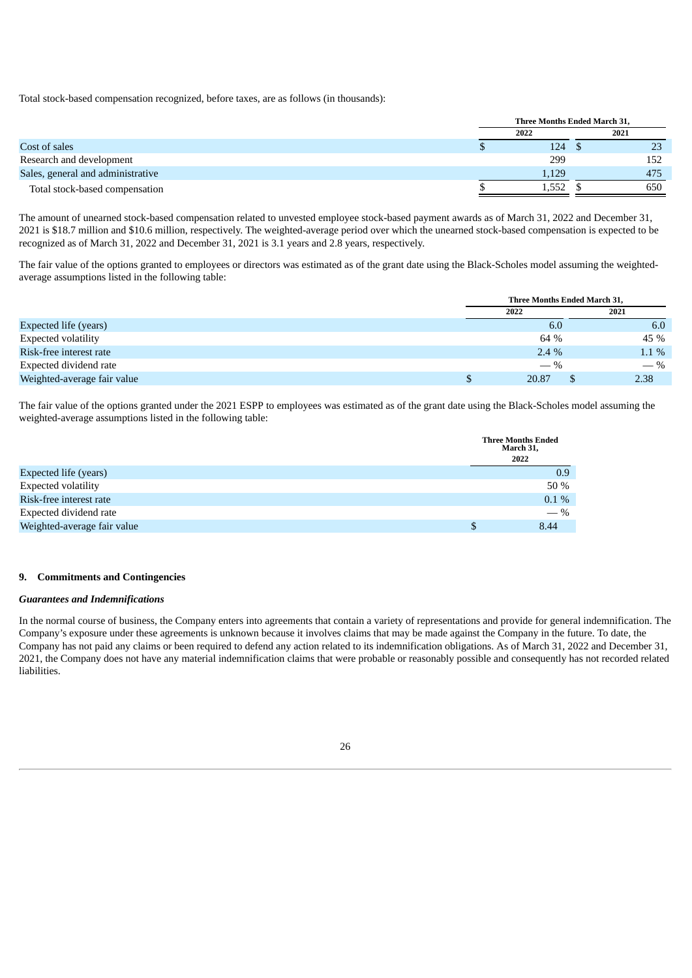Total stock-based compensation recognized, before taxes, are as follows (in thousands):

|                                   | Three Months Ended March 31, |       |  |      |
|-----------------------------------|------------------------------|-------|--|------|
|                                   |                              | 2022  |  | 2021 |
| Cost of sales                     |                              | 124   |  | 23   |
| Research and development          |                              | 299   |  | 152  |
| Sales, general and administrative |                              | 1,129 |  | 475  |
| Total stock-based compensation    |                              | 1.552 |  | 650  |

The amount of unearned stock-based compensation related to unvested employee stock-based payment awards as of March 31, 2022 and December 31, 2021 is \$18.7 million and \$10.6 million, respectively. The weighted-average period over which the unearned stock-based compensation is expected to be recognized as of March 31, 2022 and December 31, 2021 is 3.1 years and 2.8 years, respectively.

The fair value of the options granted to employees or directors was estimated as of the grant date using the Black-Scholes model assuming the weightedaverage assumptions listed in the following table:

|                             | Three Months Ended March 31, |         |  |
|-----------------------------|------------------------------|---------|--|
|                             | 2022                         | 2021    |  |
| Expected life (years)       | 6.0                          | 6.0     |  |
| <b>Expected volatility</b>  | 64 %                         | 45 %    |  |
| Risk-free interest rate     | $2.4\%$                      | $1.1\%$ |  |
| Expected dividend rate      | $-$ %                        | $-$ %   |  |
| Weighted-average fair value | 20.87                        | 2.38    |  |

The fair value of the options granted under the 2021 ESPP to employees was estimated as of the grant date using the Black-Scholes model assuming the weighted-average assumptions listed in the following table:

|                             | <b>Three Months Ended</b><br>March 31, |         |
|-----------------------------|----------------------------------------|---------|
|                             | 2022                                   |         |
| Expected life (years)       |                                        | 0.9     |
| <b>Expected volatility</b>  |                                        | 50%     |
| Risk-free interest rate     |                                        | $0.1\%$ |
| Expected dividend rate      |                                        | $-$ %   |
| Weighted-average fair value |                                        | 8.44    |

# **9. Commitments and Contingencies**

#### *Guarantees and Indemnifications*

In the normal course of business, the Company enters into agreements that contain a variety of representations and provide for general indemnification. The Company's exposure under these agreements is unknown because it involves claims that may be made against the Company in the future. To date, the Company has not paid any claims or been required to defend any action related to its indemnification obligations. As of March 31, 2022 and December 31, 2021, the Company does not have any material indemnification claims that were probable or reasonably possible and consequently has not recorded related liabilities.

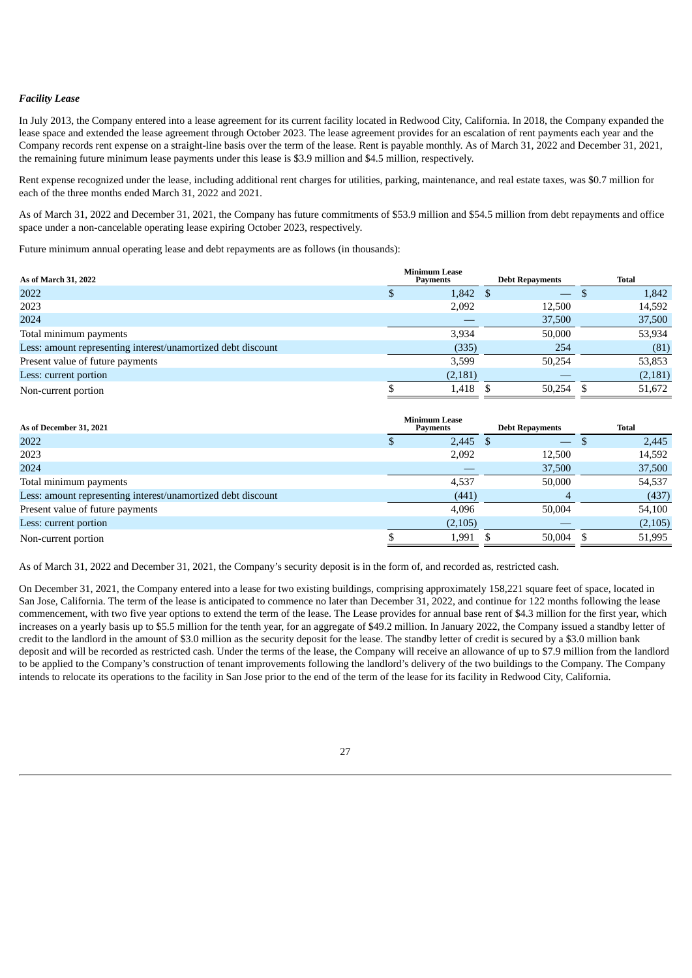# *Facility Lease*

In July 2013, the Company entered into a lease agreement for its current facility located in Redwood City, California. In 2018, the Company expanded the lease space and extended the lease agreement through October 2023. The lease agreement provides for an escalation of rent payments each year and the Company records rent expense on a straight-line basis over the term of the lease. Rent is payable monthly. As of March 31, 2022 and December 31, 2021, the remaining future minimum lease payments under this lease is \$3.9 million and \$4.5 million, respectively.

Rent expense recognized under the lease, including additional rent charges for utilities, parking, maintenance, and real estate taxes, was \$0.7 million for each of the three months ended March 31, 2022 and 2021.

As of March 31, 2022 and December 31, 2021, the Company has future commitments of \$53.9 million and \$54.5 million from debt repayments and office space under a non-cancelable operating lease expiring October 2023, respectively.

Future minimum annual operating lease and debt repayments are as follows (in thousands):

| As of March 31, 2022                                         | <b>Minimum Lease</b><br>Payments | <b>Debt Repayments</b>        | Total       |
|--------------------------------------------------------------|----------------------------------|-------------------------------|-------------|
| 2022                                                         | $1,842$ \$                       | $\overbrace{\phantom{13333}}$ | 1,842<br>۰D |
| 2023                                                         | 2,092                            | 12,500                        | 14,592      |
| 2024                                                         |                                  | 37,500                        | 37,500      |
| Total minimum payments                                       | 3,934                            | 50,000                        | 53,934      |
| Less: amount representing interest/unamortized debt discount | (335)                            | 254                           | (81)        |
| Present value of future payments                             | 3,599                            | 50,254                        | 53,853      |
| Less: current portion                                        | (2,181)                          |                               | (2, 181)    |
| Non-current portion                                          | $1,418$ \$                       | $50,254$ \$                   | 51,672      |
|                                                              |                                  |                               |             |

| As of December 31, 2021                                      | <b>Minimum Lease</b><br>Payments | <b>Debt Repayments</b> | Total   |
|--------------------------------------------------------------|----------------------------------|------------------------|---------|
| 2022                                                         | $2,445$ \$                       | $\hspace{0.1cm}$       | 2,445   |
| 2023                                                         | 2,092                            | 12,500                 | 14,592  |
| 2024                                                         |                                  | 37,500                 | 37,500  |
| Total minimum payments                                       | 4,537                            | 50,000                 | 54,537  |
| Less: amount representing interest/unamortized debt discount | (441)                            |                        | (437)   |
| Present value of future payments                             | 4.096                            | 50,004                 | 54,100  |
| Less: current portion                                        | (2,105)                          |                        | (2,105) |
| Non-current portion                                          | 1,991                            | 50,004                 | 51,995  |

As of March 31, 2022 and December 31, 2021, the Company's security deposit is in the form of, and recorded as, restricted cash.

<span id="page-24-0"></span>On December 31, 2021, the Company entered into a lease for two existing buildings, comprising approximately 158,221 square feet of space, located in San Jose, California. The term of the lease is anticipated to commence no later than December 31, 2022, and continue for 122 months following the lease commencement, with two five year options to extend the term of the lease. The Lease provides for annual base rent of \$4.3 million for the first year, which increases on a yearly basis up to \$5.5 million for the tenth year, for an aggregate of \$49.2 million. In January 2022, the Company issued a standby letter of credit to the landlord in the amount of \$3.0 million as the security deposit for the lease. The standby letter of credit is secured by a \$3.0 million bank deposit and will be recorded as restricted cash. Under the terms of the lease, the Company will receive an allowance of up to \$7.9 million from the landlord to be applied to the Company's construction of tenant improvements following the landlord's delivery of the two buildings to the Company. The Company intends to relocate its operations to the facility in San Jose prior to the end of the term of the lease for its facility in Redwood City, California.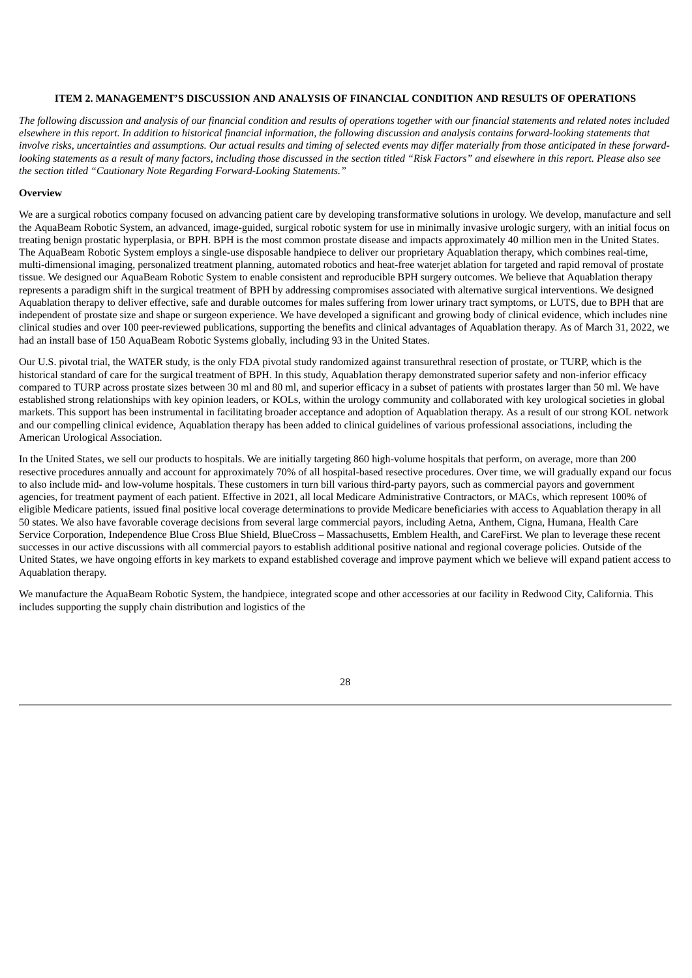# **ITEM 2. MANAGEMENT'S DISCUSSION AND ANALYSIS OF FINANCIAL CONDITION AND RESULTS OF OPERATIONS**

The following discussion and analysis of our financial condition and results of operations together with our financial statements and related notes included elsewhere in this report. In addition to historical financial information, the following discussion and analysis contains forward-looking statements that involve risks, uncertainties and assumptions. Our actual results and timing of selected events may differ materially from those anticipated in these forwardlooking statements as a result of many factors, including those discussed in the section titled "Risk Factors" and elsewhere in this report. Please also see *the section titled "Cautionary Note Regarding Forward-Looking Statements."*

### **Overview**

We are a surgical robotics company focused on advancing patient care by developing transformative solutions in urology. We develop, manufacture and sell the AquaBeam Robotic System, an advanced, image-guided, surgical robotic system for use in minimally invasive urologic surgery, with an initial focus on treating benign prostatic hyperplasia, or BPH. BPH is the most common prostate disease and impacts approximately 40 million men in the United States. The AquaBeam Robotic System employs a single-use disposable handpiece to deliver our proprietary Aquablation therapy, which combines real-time, multi-dimensional imaging, personalized treatment planning, automated robotics and heat-free waterjet ablation for targeted and rapid removal of prostate tissue. We designed our AquaBeam Robotic System to enable consistent and reproducible BPH surgery outcomes. We believe that Aquablation therapy represents a paradigm shift in the surgical treatment of BPH by addressing compromises associated with alternative surgical interventions. We designed Aquablation therapy to deliver effective, safe and durable outcomes for males suffering from lower urinary tract symptoms, or LUTS, due to BPH that are independent of prostate size and shape or surgeon experience. We have developed a significant and growing body of clinical evidence, which includes nine clinical studies and over 100 peer-reviewed publications, supporting the benefits and clinical advantages of Aquablation therapy. As of March 31, 2022, we had an install base of 150 AquaBeam Robotic Systems globally, including 93 in the United States.

Our U.S. pivotal trial, the WATER study, is the only FDA pivotal study randomized against transurethral resection of prostate, or TURP, which is the historical standard of care for the surgical treatment of BPH. In this study, Aquablation therapy demonstrated superior safety and non-inferior efficacy compared to TURP across prostate sizes between 30 ml and 80 ml, and superior efficacy in a subset of patients with prostates larger than 50 ml. We have established strong relationships with key opinion leaders, or KOLs, within the urology community and collaborated with key urological societies in global markets. This support has been instrumental in facilitating broader acceptance and adoption of Aquablation therapy. As a result of our strong KOL network and our compelling clinical evidence, Aquablation therapy has been added to clinical guidelines of various professional associations, including the American Urological Association.

In the United States, we sell our products to hospitals. We are initially targeting 860 high-volume hospitals that perform, on average, more than 200 resective procedures annually and account for approximately 70% of all hospital-based resective procedures. Over time, we will gradually expand our focus to also include mid- and low-volume hospitals. These customers in turn bill various third-party payors, such as commercial payors and government agencies, for treatment payment of each patient. Effective in 2021, all local Medicare Administrative Contractors, or MACs, which represent 100% of eligible Medicare patients, issued final positive local coverage determinations to provide Medicare beneficiaries with access to Aquablation therapy in all 50 states. We also have favorable coverage decisions from several large commercial payors, including Aetna, Anthem, Cigna, Humana, Health Care Service Corporation, Independence Blue Cross Blue Shield, BlueCross – Massachusetts, Emblem Health, and CareFirst. We plan to leverage these recent successes in our active discussions with all commercial payors to establish additional positive national and regional coverage policies. Outside of the United States, we have ongoing efforts in key markets to expand established coverage and improve payment which we believe will expand patient access to Aquablation therapy.

We manufacture the AquaBeam Robotic System, the handpiece, integrated scope and other accessories at our facility in Redwood City, California. This includes supporting the supply chain distribution and logistics of the

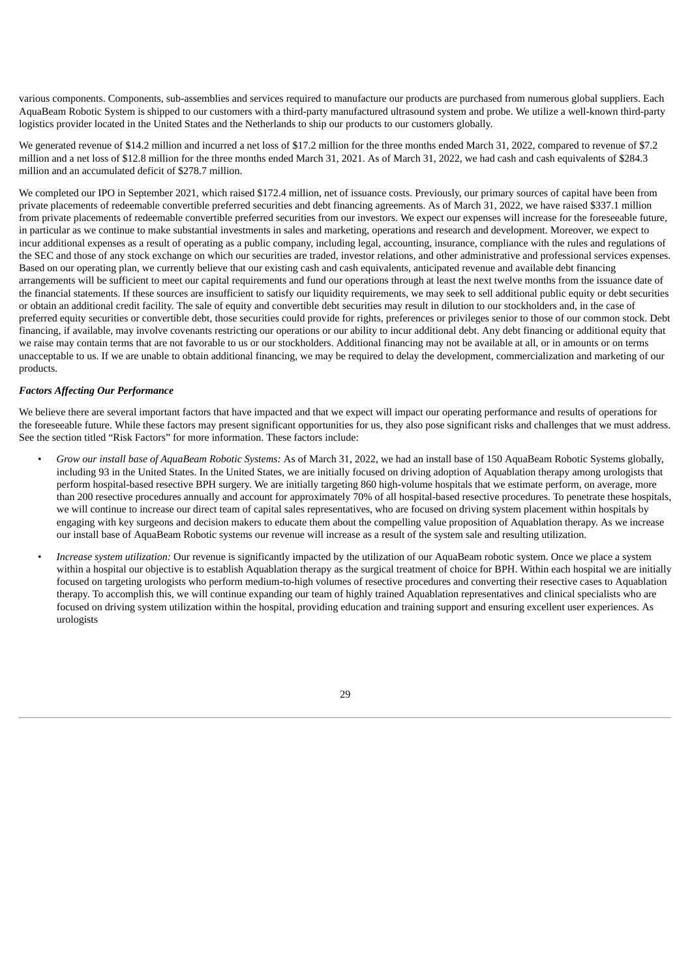various components. Components, sub-assemblies and services required to manufacture our products are purchased from numerous global suppliers. Each AquaBeam Robotic System is shipped to our customers with a third-party manufactured ultrasound system and probe. We utilize a well-known third-party logistics provider located in the United States and the Netherlands to ship our products to our customers globally.

We generated revenue of \$14.2 million and incurred a net loss of \$17.2 million for the three months ended March 31, 2022, compared to revenue of \$7.2 million and a net loss of \$12.8 million for the three months ended March 31, 2021. As of March 31, 2022, we had cash and cash equivalents of \$284.3 million and an accumulated deficit of \$278.7 million.

We completed our IPO in September 2021, which raised \$172.4 million, net of issuance costs. Previously, our primary sources of capital have been from private placements of redeemable convertible preferred securities and debt financing agreements. As of March 31, 2022, we have raised \$337.1 million from private placements of redeemable convertible preferred securities from our investors. We expect our expenses will increase for the foreseeable future, in particular as we continue to make substantial investments in sales and marketing, operations and research and development. Moreover, we expect to incur additional expenses as a result of operating as a public company, including legal, accounting, insurance, compliance with the rules and regulations of the SEC and those of any stock exchange on which our securities are traded, investor relations, and other administrative and professional services expenses. Based on our operating plan, we currently believe that our existing cash and cash equivalents, anticipated revenue and available debt financing arrangements will be sufficient to meet our capital requirements and fund our operations through at least the next twelve months from the issuance date of the financial statements. If these sources are insufficient to satisfy our liquidity requirements, we may seek to sell additional public equity or debt securities or obtain an additional credit facility. The sale of equity and convertible debt securities may result in dilution to our stockholders and, in the case of preferred equity securities or convertible debt, those securities could provide for rights, preferences or privileges senior to those of our common stock. Debt financing, if available, may involve covenants restricting our operations or our ability to incur additional debt. Any debt financing or additional equity that we raise may contain terms that are not favorable to us or our stockholders. Additional financing may not be available at all, or in amounts or on terms unacceptable to us. If we are unable to obtain additional financing, we may be required to delay the development, commercialization and marketing of our products.

### *Factors Affecting Our Performance*

We believe there are several important factors that have impacted and that we expect will impact our operating performance and results of operations for the foreseeable future. While these factors may present significant opportunities for us, they also pose significant risks and challenges that we must address. See the section titled "Risk Factors" for more information. These factors include:

- *Grow our install base of AquaBeam Robotic Systems:* As of March 31, 2022, we had an install base of 150 AquaBeam Robotic Systems globally, including 93 in the United States. In the United States, we are initially focused on driving adoption of Aquablation therapy among urologists that perform hospital-based resective BPH surgery. We are initially targeting 860 high-volume hospitals that we estimate perform, on average, more than 200 resective procedures annually and account for approximately 70% of all hospital-based resective procedures. To penetrate these hospitals, we will continue to increase our direct team of capital sales representatives, who are focused on driving system placement within hospitals by engaging with key surgeons and decision makers to educate them about the compelling value proposition of Aquablation therapy. As we increase our install base of AquaBeam Robotic systems our revenue will increase as a result of the system sale and resulting utilization.
- *Increase system utilization:* Our revenue is significantly impacted by the utilization of our AquaBeam robotic system. Once we place a system within a hospital our objective is to establish Aquablation therapy as the surgical treatment of choice for BPH. Within each hospital we are initially focused on targeting urologists who perform medium-to-high volumes of resective procedures and converting their resective cases to Aquablation therapy. To accomplish this, we will continue expanding our team of highly trained Aquablation representatives and clinical specialists who are focused on driving system utilization within the hospital, providing education and training support and ensuring excellent user experiences. As urologists

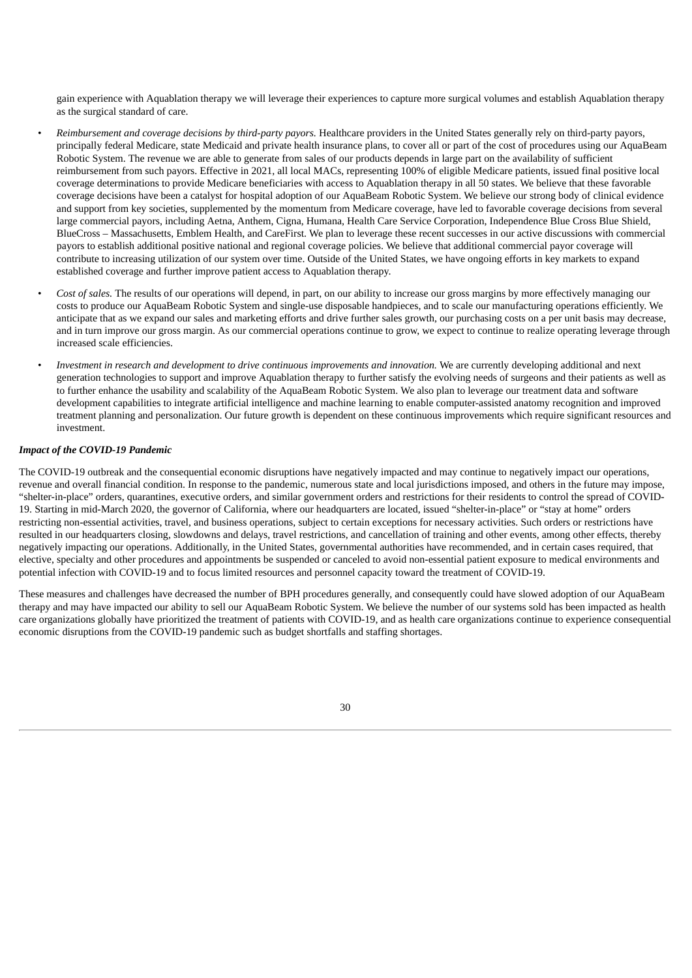gain experience with Aquablation therapy we will leverage their experiences to capture more surgical volumes and establish Aquablation therapy as the surgical standard of care.

- *Reimbursement and coverage decisions by third-party payors.* Healthcare providers in the United States generally rely on third-party payors, principally federal Medicare, state Medicaid and private health insurance plans, to cover all or part of the cost of procedures using our AquaBeam Robotic System. The revenue we are able to generate from sales of our products depends in large part on the availability of sufficient reimbursement from such payors. Effective in 2021, all local MACs, representing 100% of eligible Medicare patients, issued final positive local coverage determinations to provide Medicare beneficiaries with access to Aquablation therapy in all 50 states. We believe that these favorable coverage decisions have been a catalyst for hospital adoption of our AquaBeam Robotic System. We believe our strong body of clinical evidence and support from key societies, supplemented by the momentum from Medicare coverage, have led to favorable coverage decisions from several large commercial payors, including Aetna, Anthem, Cigna, Humana, Health Care Service Corporation, Independence Blue Cross Blue Shield, BlueCross – Massachusetts, Emblem Health, and CareFirst. We plan to leverage these recent successes in our active discussions with commercial payors to establish additional positive national and regional coverage policies. We believe that additional commercial payor coverage will contribute to increasing utilization of our system over time. Outside of the United States, we have ongoing efforts in key markets to expand established coverage and further improve patient access to Aquablation therapy.
- *Cost of sales.* The results of our operations will depend, in part, on our ability to increase our gross margins by more effectively managing our costs to produce our AquaBeam Robotic System and single-use disposable handpieces, and to scale our manufacturing operations efficiently. We anticipate that as we expand our sales and marketing efforts and drive further sales growth, our purchasing costs on a per unit basis may decrease, and in turn improve our gross margin. As our commercial operations continue to grow, we expect to continue to realize operating leverage through increased scale efficiencies.
- *Investment in research and development to drive continuous improvements and innovation.* We are currently developing additional and next generation technologies to support and improve Aquablation therapy to further satisfy the evolving needs of surgeons and their patients as well as to further enhance the usability and scalability of the AquaBeam Robotic System. We also plan to leverage our treatment data and software development capabilities to integrate artificial intelligence and machine learning to enable computer-assisted anatomy recognition and improved treatment planning and personalization. Our future growth is dependent on these continuous improvements which require significant resources and investment.

# *Impact of the COVID-19 Pandemic*

The COVID-19 outbreak and the consequential economic disruptions have negatively impacted and may continue to negatively impact our operations, revenue and overall financial condition. In response to the pandemic, numerous state and local jurisdictions imposed, and others in the future may impose, "shelter-in-place" orders, quarantines, executive orders, and similar government orders and restrictions for their residents to control the spread of COVID-19. Starting in mid-March 2020, the governor of California, where our headquarters are located, issued "shelter-in-place" or "stay at home" orders restricting non-essential activities, travel, and business operations, subject to certain exceptions for necessary activities. Such orders or restrictions have resulted in our headquarters closing, slowdowns and delays, travel restrictions, and cancellation of training and other events, among other effects, thereby negatively impacting our operations. Additionally, in the United States, governmental authorities have recommended, and in certain cases required, that elective, specialty and other procedures and appointments be suspended or canceled to avoid non-essential patient exposure to medical environments and potential infection with COVID-19 and to focus limited resources and personnel capacity toward the treatment of COVID-19.

These measures and challenges have decreased the number of BPH procedures generally, and consequently could have slowed adoption of our AquaBeam therapy and may have impacted our ability to sell our AquaBeam Robotic System. We believe the number of our systems sold has been impacted as health care organizations globally have prioritized the treatment of patients with COVID-19, and as health care organizations continue to experience consequential economic disruptions from the COVID-19 pandemic such as budget shortfalls and staffing shortages.

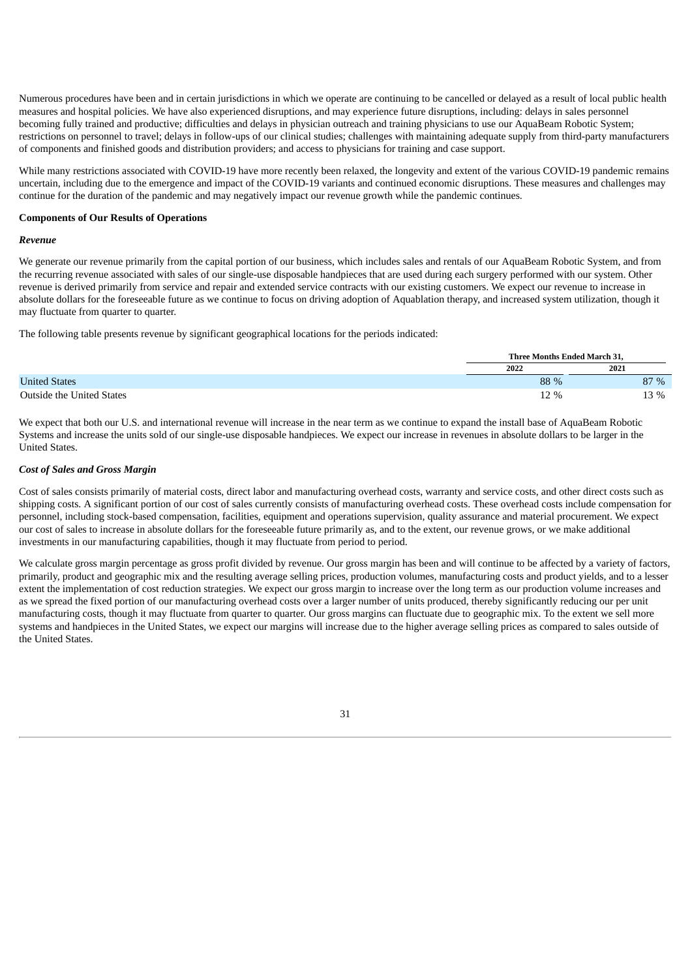Numerous procedures have been and in certain jurisdictions in which we operate are continuing to be cancelled or delayed as a result of local public health measures and hospital policies. We have also experienced disruptions, and may experience future disruptions, including: delays in sales personnel becoming fully trained and productive; difficulties and delays in physician outreach and training physicians to use our AquaBeam Robotic System; restrictions on personnel to travel; delays in follow-ups of our clinical studies; challenges with maintaining adequate supply from third-party manufacturers of components and finished goods and distribution providers; and access to physicians for training and case support.

While many restrictions associated with COVID-19 have more recently been relaxed, the longevity and extent of the various COVID-19 pandemic remains uncertain, including due to the emergence and impact of the COVID-19 variants and continued economic disruptions. These measures and challenges may continue for the duration of the pandemic and may negatively impact our revenue growth while the pandemic continues.

#### **Components of Our Results of Operations**

### *Revenue*

We generate our revenue primarily from the capital portion of our business, which includes sales and rentals of our AquaBeam Robotic System, and from the recurring revenue associated with sales of our single-use disposable handpieces that are used during each surgery performed with our system. Other revenue is derived primarily from service and repair and extended service contracts with our existing customers. We expect our revenue to increase in absolute dollars for the foreseeable future as we continue to focus on driving adoption of Aquablation therapy, and increased system utilization, though it may fluctuate from quarter to quarter.

The following table presents revenue by significant geographical locations for the periods indicated:

|                           | Three Months Ended March 31, |      |  |  |
|---------------------------|------------------------------|------|--|--|
|                           | 2022                         | 2021 |  |  |
| <b>United States</b>      | 88 %                         | 87 % |  |  |
| Outside the United States | 12 %                         | 13 % |  |  |

We expect that both our U.S. and international revenue will increase in the near term as we continue to expand the install base of AquaBeam Robotic Systems and increase the units sold of our single-use disposable handpieces. We expect our increase in revenues in absolute dollars to be larger in the United States.

### *Cost of Sales and Gross Margin*

Cost of sales consists primarily of material costs, direct labor and manufacturing overhead costs, warranty and service costs, and other direct costs such as shipping costs. A significant portion of our cost of sales currently consists of manufacturing overhead costs. These overhead costs include compensation for personnel, including stock-based compensation, facilities, equipment and operations supervision, quality assurance and material procurement. We expect our cost of sales to increase in absolute dollars for the foreseeable future primarily as, and to the extent, our revenue grows, or we make additional investments in our manufacturing capabilities, though it may fluctuate from period to period.

We calculate gross margin percentage as gross profit divided by revenue. Our gross margin has been and will continue to be affected by a variety of factors, primarily, product and geographic mix and the resulting average selling prices, production volumes, manufacturing costs and product yields, and to a lesser extent the implementation of cost reduction strategies. We expect our gross margin to increase over the long term as our production volume increases and as we spread the fixed portion of our manufacturing overhead costs over a larger number of units produced, thereby significantly reducing our per unit manufacturing costs, though it may fluctuate from quarter to quarter. Our gross margins can fluctuate due to geographic mix. To the extent we sell more systems and handpieces in the United States, we expect our margins will increase due to the higher average selling prices as compared to sales outside of the United States.

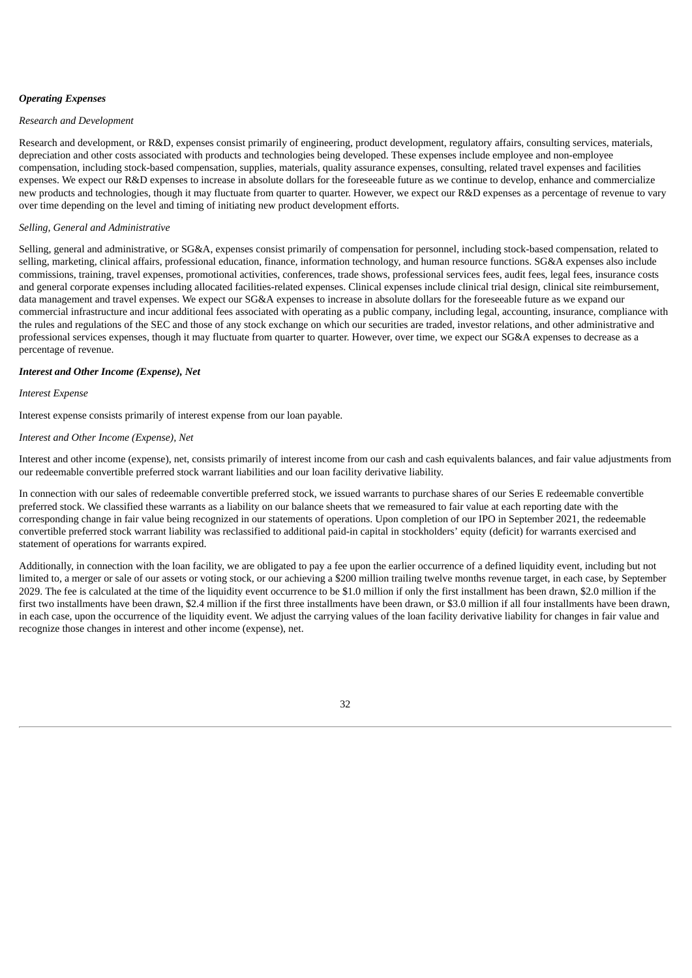### *Operating Expenses*

### *Research and Development*

Research and development, or R&D, expenses consist primarily of engineering, product development, regulatory affairs, consulting services, materials, depreciation and other costs associated with products and technologies being developed. These expenses include employee and non-employee compensation, including stock-based compensation, supplies, materials, quality assurance expenses, consulting, related travel expenses and facilities expenses. We expect our R&D expenses to increase in absolute dollars for the foreseeable future as we continue to develop, enhance and commercialize new products and technologies, though it may fluctuate from quarter to quarter. However, we expect our R&D expenses as a percentage of revenue to vary over time depending on the level and timing of initiating new product development efforts.

#### *Selling, General and Administrative*

Selling, general and administrative, or SG&A, expenses consist primarily of compensation for personnel, including stock-based compensation, related to selling, marketing, clinical affairs, professional education, finance, information technology, and human resource functions. SG&A expenses also include commissions, training, travel expenses, promotional activities, conferences, trade shows, professional services fees, audit fees, legal fees, insurance costs and general corporate expenses including allocated facilities-related expenses. Clinical expenses include clinical trial design, clinical site reimbursement, data management and travel expenses. We expect our SG&A expenses to increase in absolute dollars for the foreseeable future as we expand our commercial infrastructure and incur additional fees associated with operating as a public company, including legal, accounting, insurance, compliance with the rules and regulations of the SEC and those of any stock exchange on which our securities are traded, investor relations, and other administrative and professional services expenses, though it may fluctuate from quarter to quarter. However, over time, we expect our SG&A expenses to decrease as a percentage of revenue.

# *Interest and Other Income (Expense), Net*

#### *Interest Expense*

Interest expense consists primarily of interest expense from our loan payable.

### *Interest and Other Income (Expense), Net*

Interest and other income (expense), net, consists primarily of interest income from our cash and cash equivalents balances, and fair value adjustments from our redeemable convertible preferred stock warrant liabilities and our loan facility derivative liability.

In connection with our sales of redeemable convertible preferred stock, we issued warrants to purchase shares of our Series E redeemable convertible preferred stock. We classified these warrants as a liability on our balance sheets that we remeasured to fair value at each reporting date with the corresponding change in fair value being recognized in our statements of operations. Upon completion of our IPO in September 2021, the redeemable convertible preferred stock warrant liability was reclassified to additional paid-in capital in stockholders' equity (deficit) for warrants exercised and statement of operations for warrants expired.

Additionally, in connection with the loan facility, we are obligated to pay a fee upon the earlier occurrence of a defined liquidity event, including but not limited to, a merger or sale of our assets or voting stock, or our achieving a \$200 million trailing twelve months revenue target, in each case, by September 2029. The fee is calculated at the time of the liquidity event occurrence to be \$1.0 million if only the first installment has been drawn, \$2.0 million if the first two installments have been drawn, \$2.4 million if the first three installments have been drawn, or \$3.0 million if all four installments have been drawn, in each case, upon the occurrence of the liquidity event. We adjust the carrying values of the loan facility derivative liability for changes in fair value and recognize those changes in interest and other income (expense), net.

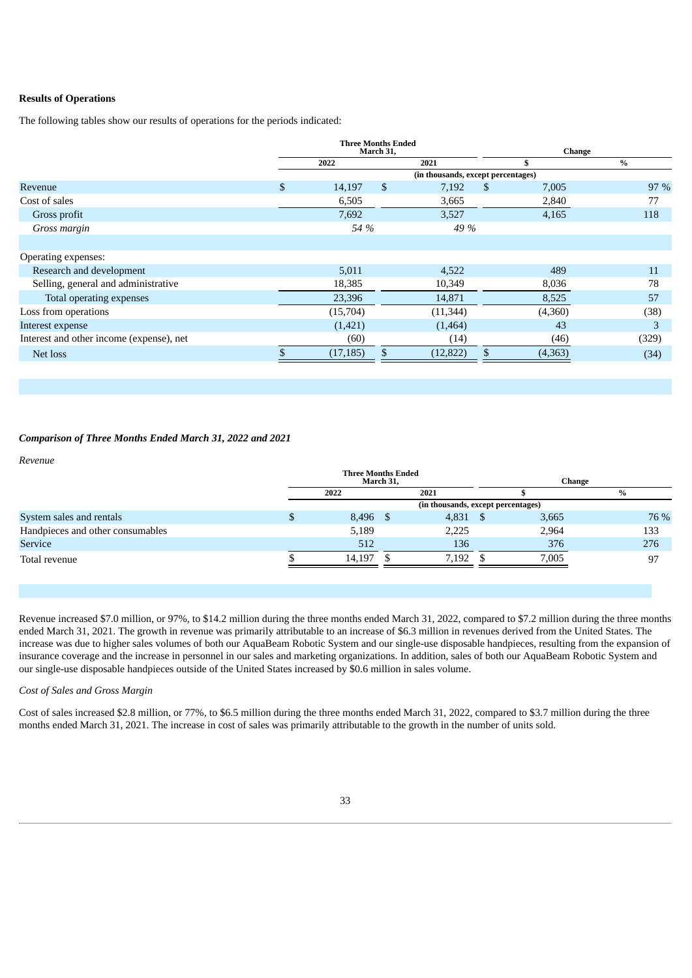# **Results of Operations**

The following tables show our results of operations for the periods indicated:

|                                          | <b>Three Months Ended</b><br>March 31, |           |                    |           |     | Change   |       |  |
|------------------------------------------|----------------------------------------|-----------|--------------------|-----------|-----|----------|-------|--|
|                                          | 2022                                   |           |                    | 2021      |     | ь        | $\%$  |  |
|                                          | (in thousands, except percentages)     |           |                    |           |     |          |       |  |
| Revenue                                  | \$                                     | 14,197    | $\mathbf{\hat{S}}$ | 7,192     | \$. | 7,005    | 97 %  |  |
| Cost of sales                            |                                        | 6,505     |                    | 3,665     |     | 2,840    | 77    |  |
| Gross profit                             |                                        | 7,692     |                    | 3,527     |     | 4,165    | 118   |  |
| Gross margin                             |                                        | 54 %      |                    | 49 %      |     |          |       |  |
|                                          |                                        |           |                    |           |     |          |       |  |
| Operating expenses:                      |                                        |           |                    |           |     |          |       |  |
| Research and development                 |                                        | 5,011     |                    | 4,522     |     | 489      | 11    |  |
| Selling, general and administrative      |                                        | 18,385    |                    | 10,349    |     | 8,036    | 78    |  |
| Total operating expenses                 |                                        | 23,396    |                    | 14,871    |     | 8,525    | 57    |  |
| Loss from operations                     |                                        | (15,704)  |                    | (11, 344) |     | (4,360)  | (38)  |  |
| Interest expense                         |                                        | (1,421)   |                    | (1,464)   |     | 43       | 3     |  |
| Interest and other income (expense), net |                                        | (60)      |                    | (14)      |     | (46)     | (329) |  |
| Net loss                                 |                                        | (17, 185) |                    | (12, 822) | S   | (4, 363) | (34)  |  |

# *Comparison of Three Months Ended March 31, 2022 and 2021*

| Revenue                          |                                    |           |            |  |        |               |
|----------------------------------|------------------------------------|-----------|------------|--|--------|---------------|
|                                  | <b>Three Months Ended</b>          | March 31, |            |  | Change |               |
|                                  | 2022                               |           | 2021       |  |        | $\frac{9}{6}$ |
|                                  | (in thousands, except percentages) |           |            |  |        |               |
| System sales and rentals         | 8,496 \$                           |           | $4,831$ \$ |  | 3,665  | 76 %          |
| Handpieces and other consumables | 5,189                              |           | 2,225      |  | 2,964  | 133           |
| Service                          | 512                                |           | 136        |  | 376    | 276           |
| Total revenue                    | 14.197                             |           | 7,192      |  | 7,005  | 97            |

Revenue increased \$7.0 million, or 97%, to \$14.2 million during the three months ended March 31, 2022, compared to \$7.2 million during the three months ended March 31, 2021. The growth in revenue was primarily attributable to an increase of \$6.3 million in revenues derived from the United States. The increase was due to higher sales volumes of both our AquaBeam Robotic System and our single-use disposable handpieces, resulting from the expansion of insurance coverage and the increase in personnel in our sales and marketing organizations. In addition, sales of both our AquaBeam Robotic System and our single-use disposable handpieces outside of the United States increased by \$0.6 million in sales volume.

### *Cost of Sales and Gross Margin*

Cost of sales increased \$2.8 million, or 77%, to \$6.5 million during the three months ended March 31, 2022, compared to \$3.7 million during the three months ended March 31, 2021. The increase in cost of sales was primarily attributable to the growth in the number of units sold.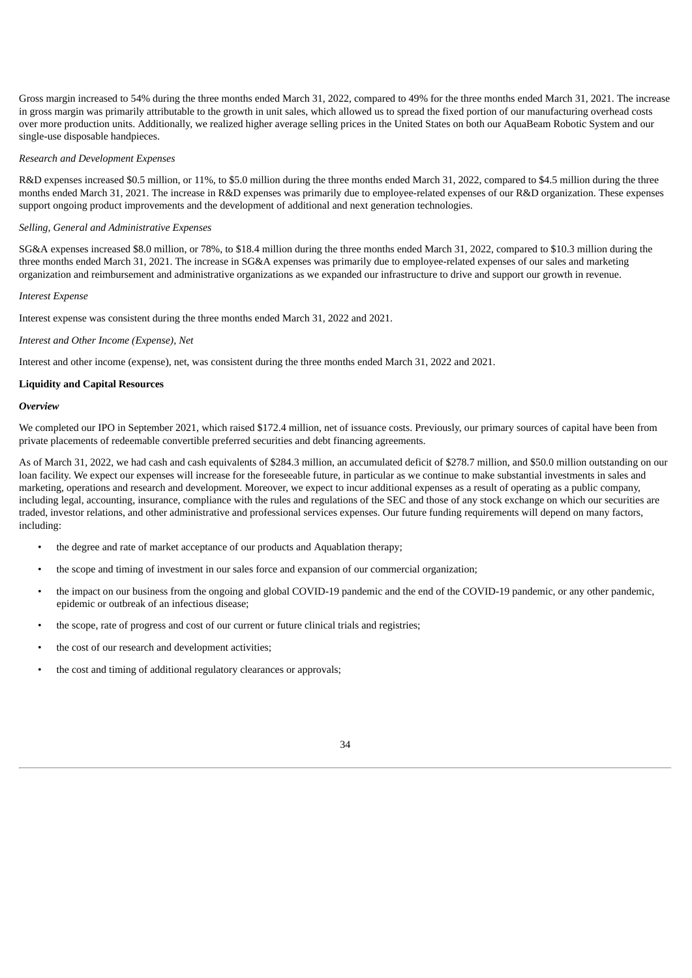Gross margin increased to 54% during the three months ended March 31, 2022, compared to 49% for the three months ended March 31, 2021. The increase in gross margin was primarily attributable to the growth in unit sales, which allowed us to spread the fixed portion of our manufacturing overhead costs over more production units. Additionally, we realized higher average selling prices in the United States on both our AquaBeam Robotic System and our single-use disposable handpieces.

### *Research and Development Expenses*

R&D expenses increased \$0.5 million, or 11%, to \$5.0 million during the three months ended March 31, 2022, compared to \$4.5 million during the three months ended March 31, 2021. The increase in R&D expenses was primarily due to employee-related expenses of our R&D organization. These expenses support ongoing product improvements and the development of additional and next generation technologies.

### *Selling, General and Administrative Expenses*

SG&A expenses increased \$8.0 million, or 78%, to \$18.4 million during the three months ended March 31, 2022, compared to \$10.3 million during the three months ended March 31, 2021. The increase in SG&A expenses was primarily due to employee-related expenses of our sales and marketing organization and reimbursement and administrative organizations as we expanded our infrastructure to drive and support our growth in revenue.

### *Interest Expense*

Interest expense was consistent during the three months ended March 31, 2022 and 2021.

### *Interest and Other Income (Expense), Net*

Interest and other income (expense), net, was consistent during the three months ended March 31, 2022 and 2021.

# **Liquidity and Capital Resources**

### *Overview*

We completed our IPO in September 2021, which raised \$172.4 million, net of issuance costs. Previously, our primary sources of capital have been from private placements of redeemable convertible preferred securities and debt financing agreements.

As of March 31, 2022, we had cash and cash equivalents of \$284.3 million, an accumulated deficit of \$278.7 million, and \$50.0 million outstanding on our loan facility. We expect our expenses will increase for the foreseeable future, in particular as we continue to make substantial investments in sales and marketing, operations and research and development. Moreover, we expect to incur additional expenses as a result of operating as a public company, including legal, accounting, insurance, compliance with the rules and regulations of the SEC and those of any stock exchange on which our securities are traded, investor relations, and other administrative and professional services expenses. Our future funding requirements will depend on many factors, including:

- the degree and rate of market acceptance of our products and Aquablation therapy;
- the scope and timing of investment in our sales force and expansion of our commercial organization;
- the impact on our business from the ongoing and global COVID-19 pandemic and the end of the COVID-19 pandemic, or any other pandemic, epidemic or outbreak of an infectious disease;
- the scope, rate of progress and cost of our current or future clinical trials and registries;
- the cost of our research and development activities;
- the cost and timing of additional regulatory clearances or approvals;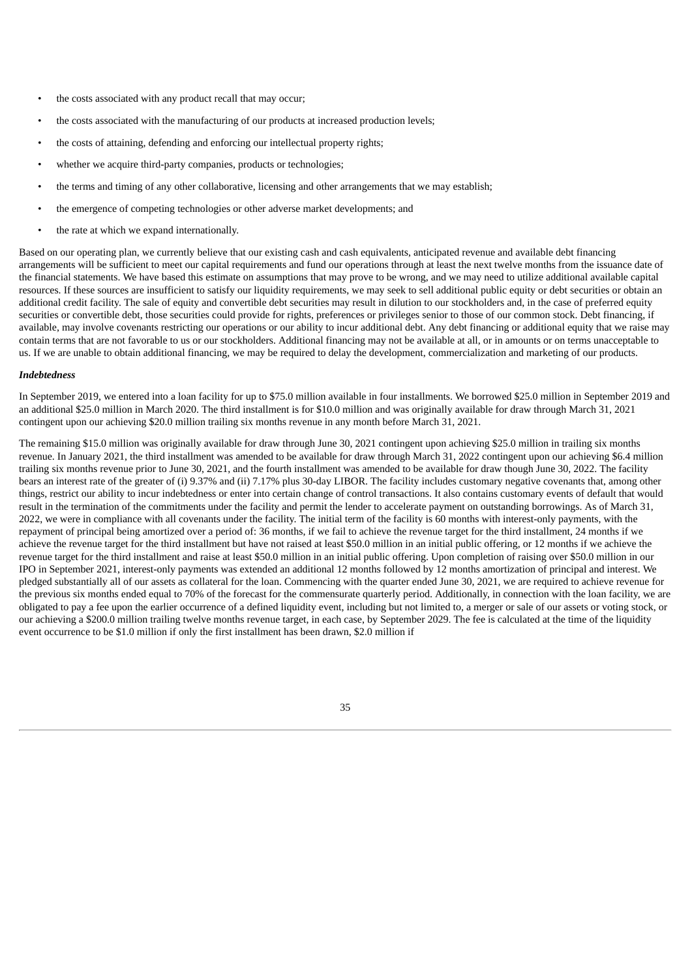- the costs associated with any product recall that may occur:
- the costs associated with the manufacturing of our products at increased production levels;
- the costs of attaining, defending and enforcing our intellectual property rights;
- whether we acquire third-party companies, products or technologies;
- the terms and timing of any other collaborative, licensing and other arrangements that we may establish;
- the emergence of competing technologies or other adverse market developments; and
- the rate at which we expand internationally.

Based on our operating plan, we currently believe that our existing cash and cash equivalents, anticipated revenue and available debt financing arrangements will be sufficient to meet our capital requirements and fund our operations through at least the next twelve months from the issuance date of the financial statements. We have based this estimate on assumptions that may prove to be wrong, and we may need to utilize additional available capital resources. If these sources are insufficient to satisfy our liquidity requirements, we may seek to sell additional public equity or debt securities or obtain an additional credit facility. The sale of equity and convertible debt securities may result in dilution to our stockholders and, in the case of preferred equity securities or convertible debt, those securities could provide for rights, preferences or privileges senior to those of our common stock. Debt financing, if available, may involve covenants restricting our operations or our ability to incur additional debt. Any debt financing or additional equity that we raise may contain terms that are not favorable to us or our stockholders. Additional financing may not be available at all, or in amounts or on terms unacceptable to us. If we are unable to obtain additional financing, we may be required to delay the development, commercialization and marketing of our products.

### *Indebtedness*

In September 2019, we entered into a loan facility for up to \$75.0 million available in four installments. We borrowed \$25.0 million in September 2019 and an additional \$25.0 million in March 2020. The third installment is for \$10.0 million and was originally available for draw through March 31, 2021 contingent upon our achieving \$20.0 million trailing six months revenue in any month before March 31, 2021.

The remaining \$15.0 million was originally available for draw through June 30, 2021 contingent upon achieving \$25.0 million in trailing six months revenue. In January 2021, the third installment was amended to be available for draw through March 31, 2022 contingent upon our achieving \$6.4 million trailing six months revenue prior to June 30, 2021, and the fourth installment was amended to be available for draw though June 30, 2022. The facility bears an interest rate of the greater of (i) 9.37% and (ii) 7.17% plus 30-day LIBOR. The facility includes customary negative covenants that, among other things, restrict our ability to incur indebtedness or enter into certain change of control transactions. It also contains customary events of default that would result in the termination of the commitments under the facility and permit the lender to accelerate payment on outstanding borrowings. As of March 31, 2022, we were in compliance with all covenants under the facility. The initial term of the facility is 60 months with interest-only payments, with the repayment of principal being amortized over a period of: 36 months, if we fail to achieve the revenue target for the third installment, 24 months if we achieve the revenue target for the third installment but have not raised at least \$50.0 million in an initial public offering, or 12 months if we achieve the revenue target for the third installment and raise at least \$50.0 million in an initial public offering. Upon completion of raising over \$50.0 million in our IPO in September 2021, interest-only payments was extended an additional 12 months followed by 12 months amortization of principal and interest. We pledged substantially all of our assets as collateral for the loan. Commencing with the quarter ended June 30, 2021, we are required to achieve revenue for the previous six months ended equal to 70% of the forecast for the commensurate quarterly period. Additionally, in connection with the loan facility, we are obligated to pay a fee upon the earlier occurrence of a defined liquidity event, including but not limited to, a merger or sale of our assets or voting stock, or our achieving a \$200.0 million trailing twelve months revenue target, in each case, by September 2029. The fee is calculated at the time of the liquidity event occurrence to be \$1.0 million if only the first installment has been drawn, \$2.0 million if

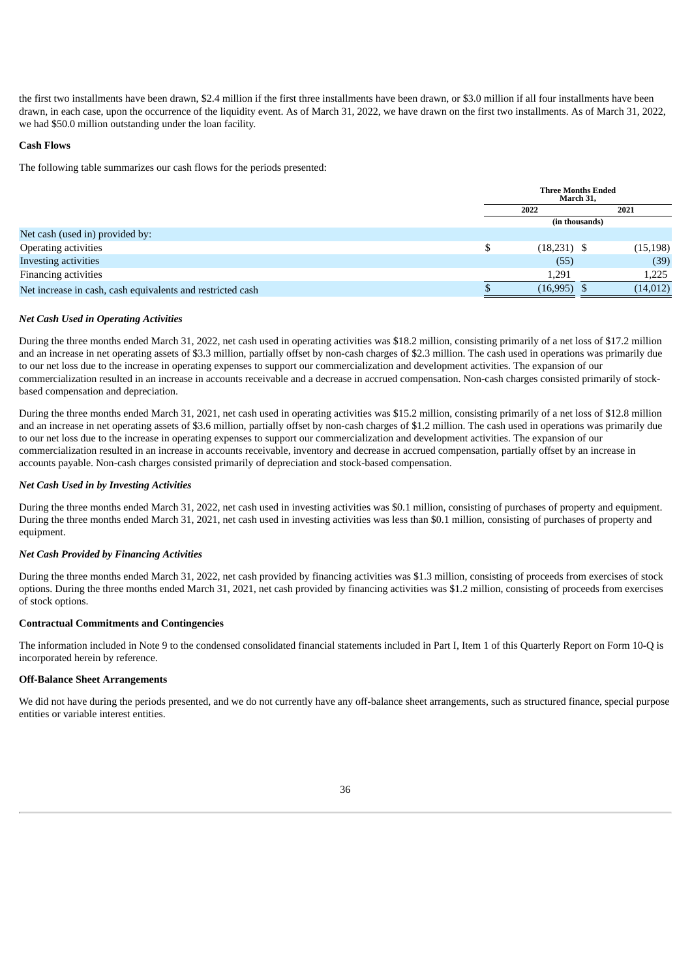the first two installments have been drawn, \$2.4 million if the first three installments have been drawn, or \$3.0 million if all four installments have been drawn, in each case, upon the occurrence of the liquidity event. As of March 31, 2022, we have drawn on the first two installments. As of March 31, 2022, we had \$50.0 million outstanding under the loan facility.

### **Cash Flows**

The following table summarizes our cash flows for the periods presented:

|                                                            |              | <b>Three Months Ended</b><br>March 31, |  |           |
|------------------------------------------------------------|--------------|----------------------------------------|--|-----------|
|                                                            | 2021<br>2022 |                                        |  |           |
|                                                            |              | (in thousands)                         |  |           |
| Net cash (used in) provided by:                            |              |                                        |  |           |
| Operating activities                                       | \$           | $(18,231)$ \$                          |  | (15,198)  |
| Investing activities                                       |              | (55)                                   |  | (39)      |
| <b>Financing activities</b>                                |              | 1,291                                  |  | 1,225     |
| Net increase in cash, cash equivalents and restricted cash |              | $(16,995)$ \$                          |  | (14, 012) |

### *Net Cash Used in Operating Activities*

During the three months ended March 31, 2022, net cash used in operating activities was \$18.2 million, consisting primarily of a net loss of \$17.2 million and an increase in net operating assets of \$3.3 million, partially offset by non-cash charges of \$2.3 million. The cash used in operations was primarily due to our net loss due to the increase in operating expenses to support our commercialization and development activities. The expansion of our commercialization resulted in an increase in accounts receivable and a decrease in accrued compensation. Non-cash charges consisted primarily of stockbased compensation and depreciation.

During the three months ended March 31, 2021, net cash used in operating activities was \$15.2 million, consisting primarily of a net loss of \$12.8 million and an increase in net operating assets of \$3.6 million, partially offset by non-cash charges of \$1.2 million. The cash used in operations was primarily due to our net loss due to the increase in operating expenses to support our commercialization and development activities. The expansion of our commercialization resulted in an increase in accounts receivable, inventory and decrease in accrued compensation, partially offset by an increase in accounts payable. Non-cash charges consisted primarily of depreciation and stock-based compensation.

### *Net Cash Used in by Investing Activities*

During the three months ended March 31, 2022, net cash used in investing activities was \$0.1 million, consisting of purchases of property and equipment. During the three months ended March 31, 2021, net cash used in investing activities was less than \$0.1 million, consisting of purchases of property and equipment.

### *Net Cash Provided by Financing Activities*

During the three months ended March 31, 2022, net cash provided by financing activities was \$1.3 million, consisting of proceeds from exercises of stock options. During the three months ended March 31, 2021, net cash provided by financing activities was \$1.2 million, consisting of proceeds from exercises of stock options.

# **Contractual Commitments and Contingencies**

The information included in Note 9 to the condensed consolidated financial statements included in Part I, Item 1 of this Quarterly Report on Form 10-Q is incorporated herein by reference.

### **Off-Balance Sheet Arrangements**

We did not have during the periods presented, and we do not currently have any off-balance sheet arrangements, such as structured finance, special purpose entities or variable interest entities.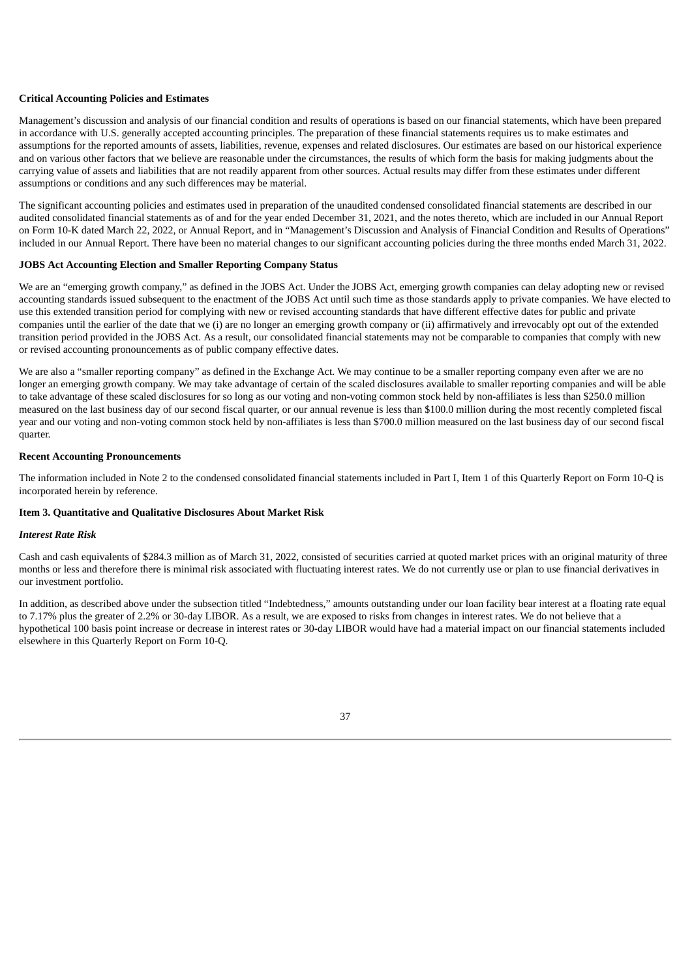### **Critical Accounting Policies and Estimates**

Management's discussion and analysis of our financial condition and results of operations is based on our financial statements, which have been prepared in accordance with U.S. generally accepted accounting principles. The preparation of these financial statements requires us to make estimates and assumptions for the reported amounts of assets, liabilities, revenue, expenses and related disclosures. Our estimates are based on our historical experience and on various other factors that we believe are reasonable under the circumstances, the results of which form the basis for making judgments about the carrying value of assets and liabilities that are not readily apparent from other sources. Actual results may differ from these estimates under different assumptions or conditions and any such differences may be material.

The significant accounting policies and estimates used in preparation of the unaudited condensed consolidated financial statements are described in our audited consolidated financial statements as of and for the year ended December 31, 2021, and the notes thereto, which are included in our Annual Report on Form 10-K dated March 22, 2022, or Annual Report, and in "Management's Discussion and Analysis of Financial Condition and Results of Operations" included in our Annual Report. There have been no material changes to our significant accounting policies during the three months ended March 31, 2022.

## **JOBS Act Accounting Election and Smaller Reporting Company Status**

We are an "emerging growth company," as defined in the JOBS Act. Under the JOBS Act, emerging growth companies can delay adopting new or revised accounting standards issued subsequent to the enactment of the JOBS Act until such time as those standards apply to private companies. We have elected to use this extended transition period for complying with new or revised accounting standards that have different effective dates for public and private companies until the earlier of the date that we (i) are no longer an emerging growth company or (ii) affirmatively and irrevocably opt out of the extended transition period provided in the JOBS Act. As a result, our consolidated financial statements may not be comparable to companies that comply with new or revised accounting pronouncements as of public company effective dates.

We are also a "smaller reporting company" as defined in the Exchange Act. We may continue to be a smaller reporting company even after we are no longer an emerging growth company. We may take advantage of certain of the scaled disclosures available to smaller reporting companies and will be able to take advantage of these scaled disclosures for so long as our voting and non-voting common stock held by non-affiliates is less than \$250.0 million measured on the last business day of our second fiscal quarter, or our annual revenue is less than \$100.0 million during the most recently completed fiscal year and our voting and non-voting common stock held by non-affiliates is less than \$700.0 million measured on the last business day of our second fiscal quarter.

### **Recent Accounting Pronouncements**

The information included in Note 2 to the condensed consolidated financial statements included in Part I, Item 1 of this Quarterly Report on Form 10-Q is incorporated herein by reference.

# <span id="page-34-0"></span>**Item 3. Quantitative and Qualitative Disclosures About Market Risk**

### *Interest Rate Risk*

Cash and cash equivalents of \$284.3 million as of March 31, 2022, consisted of securities carried at quoted market prices with an original maturity of three months or less and therefore there is minimal risk associated with fluctuating interest rates. We do not currently use or plan to use financial derivatives in our investment portfolio.

In addition, as described above under the subsection titled "Indebtedness," amounts outstanding under our loan facility bear interest at a floating rate equal to 7.17% plus the greater of 2.2% or 30-day LIBOR. As a result, we are exposed to risks from changes in interest rates. We do not believe that a hypothetical 100 basis point increase or decrease in interest rates or 30-day LIBOR would have had a material impact on our financial statements included elsewhere in this Quarterly Report on Form 10-Q.

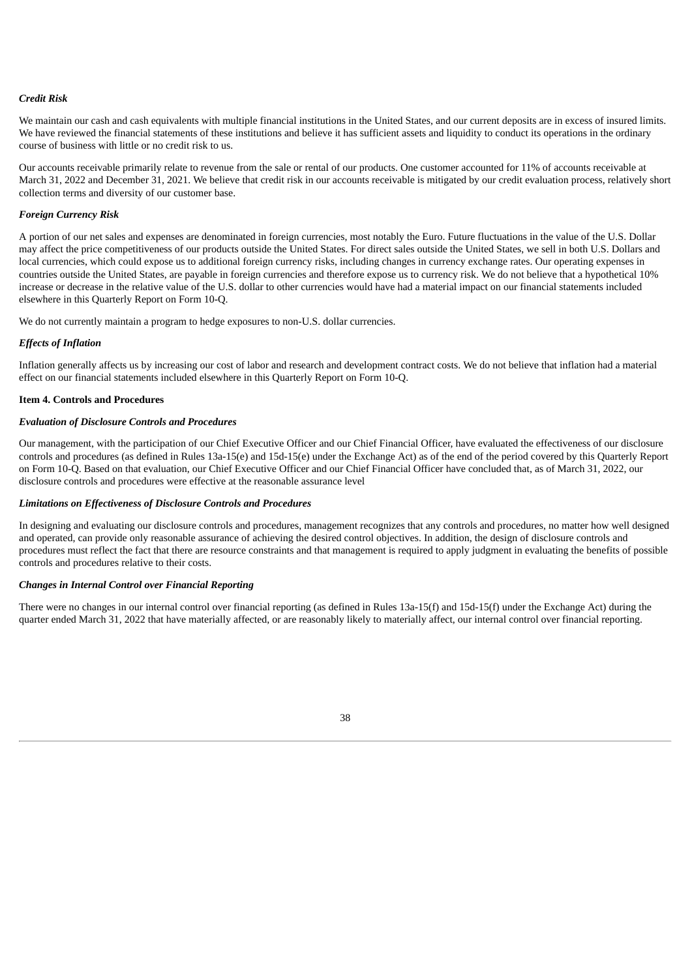# *Credit Risk*

We maintain our cash and cash equivalents with multiple financial institutions in the United States, and our current deposits are in excess of insured limits. We have reviewed the financial statements of these institutions and believe it has sufficient assets and liquidity to conduct its operations in the ordinary course of business with little or no credit risk to us.

Our accounts receivable primarily relate to revenue from the sale or rental of our products. One customer accounted for 11% of accounts receivable at March 31, 2022 and December 31, 2021. We believe that credit risk in our accounts receivable is mitigated by our credit evaluation process, relatively short collection terms and diversity of our customer base.

### *Foreign Currency Risk*

A portion of our net sales and expenses are denominated in foreign currencies, most notably the Euro. Future fluctuations in the value of the U.S. Dollar may affect the price competitiveness of our products outside the United States. For direct sales outside the United States, we sell in both U.S. Dollars and local currencies, which could expose us to additional foreign currency risks, including changes in currency exchange rates. Our operating expenses in countries outside the United States, are payable in foreign currencies and therefore expose us to currency risk. We do not believe that a hypothetical 10% increase or decrease in the relative value of the U.S. dollar to other currencies would have had a material impact on our financial statements included elsewhere in this Quarterly Report on Form 10-Q.

We do not currently maintain a program to hedge exposures to non-U.S. dollar currencies.

### *Effects of Inflation*

Inflation generally affects us by increasing our cost of labor and research and development contract costs. We do not believe that inflation had a material effect on our financial statements included elsewhere in this Quarterly Report on Form 10-Q.

# <span id="page-35-0"></span>**Item 4. Controls and Procedures**

### *Evaluation of Disclosure Controls and Procedures*

Our management, with the participation of our Chief Executive Officer and our Chief Financial Officer, have evaluated the effectiveness of our disclosure controls and procedures (as defined in Rules 13a-15(e) and 15d-15(e) under the Exchange Act) as of the end of the period covered by this Quarterly Report on Form 10-Q. Based on that evaluation, our Chief Executive Officer and our Chief Financial Officer have concluded that, as of March 31, 2022, our disclosure controls and procedures were effective at the reasonable assurance level

### *Limitations on Effectiveness of Disclosure Controls and Procedures*

In designing and evaluating our disclosure controls and procedures, management recognizes that any controls and procedures, no matter how well designed and operated, can provide only reasonable assurance of achieving the desired control objectives. In addition, the design of disclosure controls and procedures must reflect the fact that there are resource constraints and that management is required to apply judgment in evaluating the benefits of possible controls and procedures relative to their costs.

#### *Changes in Internal Control over Financial Reporting*

<span id="page-35-1"></span>There were no changes in our internal control over financial reporting (as defined in Rules 13a-15(f) and 15d-15(f) under the Exchange Act) during the quarter ended March 31, 2022 that have materially affected, or are reasonably likely to materially affect, our internal control over financial reporting.

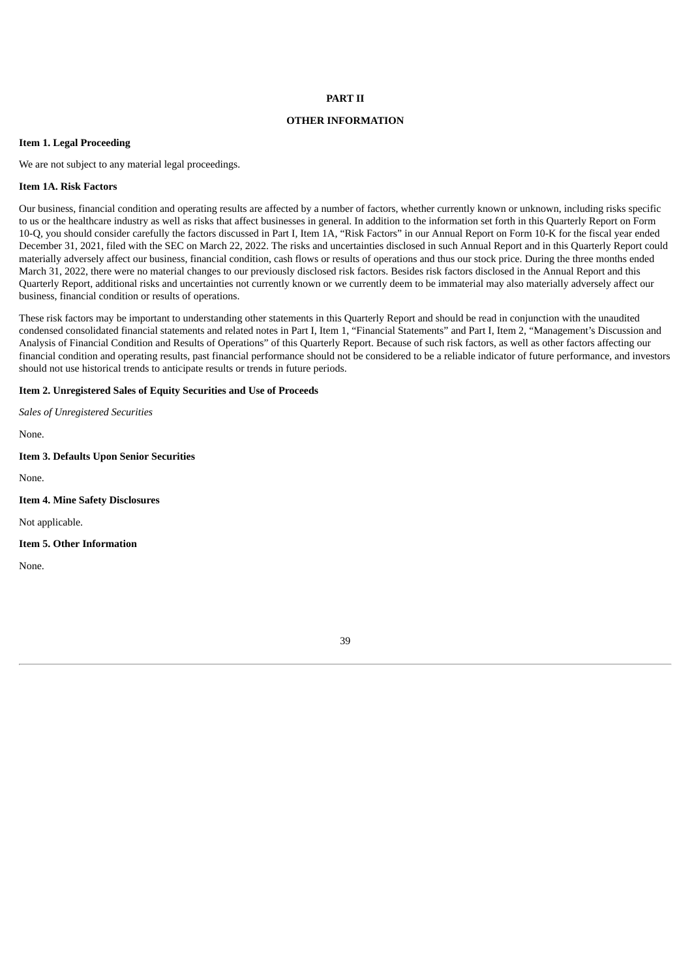# **PART II**

# **OTHER INFORMATION**

### <span id="page-36-0"></span>**Item 1. Legal Proceeding**

We are not subject to any material legal proceedings.

# <span id="page-36-1"></span>**Item 1A. Risk Factors**

Our business, financial condition and operating results are affected by a number of factors, whether currently known or unknown, including risks specific to us or the healthcare industry as well as risks that affect businesses in general. In addition to the information set forth in this Quarterly Report on Form 10-Q, you should consider carefully the factors discussed in Part I, Item 1A, "Risk Factors" in our Annual Report on Form 10-K for the fiscal year ended December 31, 2021, filed with the SEC on March 22, 2022. The risks and uncertainties disclosed in such Annual Report and in this Quarterly Report could materially adversely affect our business, financial condition, cash flows or results of operations and thus our stock price. During the three months ended March 31, 2022, there were no material changes to our previously disclosed risk factors. Besides risk factors disclosed in the Annual Report and this Quarterly Report, additional risks and uncertainties not currently known or we currently deem to be immaterial may also materially adversely affect our business, financial condition or results of operations.

These risk factors may be important to understanding other statements in this Quarterly Report and should be read in conjunction with the unaudited condensed consolidated financial statements and related notes in Part I, Item 1, "Financial Statements" and Part I, Item 2, "Management's Discussion and Analysis of Financial Condition and Results of Operations" of this Quarterly Report. Because of such risk factors, as well as other factors affecting our financial condition and operating results, past financial performance should not be considered to be a reliable indicator of future performance, and investors should not use historical trends to anticipate results or trends in future periods.

### <span id="page-36-2"></span>**Item 2. Unregistered Sales of Equity Securities and Use of Proceeds**

*Sales of Unregistered Securities*

None.

### **Item 3. Defaults Upon Senior Securities**

None.

**Item 4. Mine Safety Disclosures**

Not applicable.

### **Item 5. Other Information**

<span id="page-36-3"></span>None.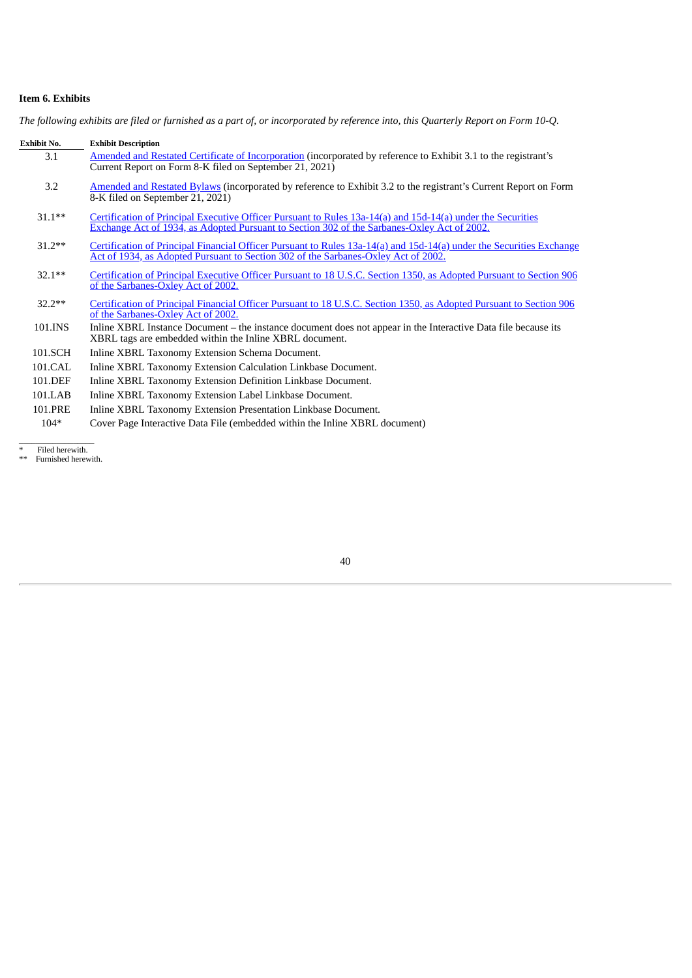# **Item 6. Exhibits**

The following exhibits are filed or furnished as a part of, or incorporated by reference into, this Quarterly Report on Form 10-Q.

| Exhibit No. | <b>Exhibit Description</b>                                                                                                                                                                                 |
|-------------|------------------------------------------------------------------------------------------------------------------------------------------------------------------------------------------------------------|
| 3.1         | Amended and Restated Certificate of Incorporation (incorporated by reference to Exhibit 3.1 to the registrant's<br>Current Report on Form 8-K filed on September 21, 2021)                                 |
| 3.2         | Amended and Restated Bylaws (incorporated by reference to Exhibit 3.2 to the registrant's Current Report on Form<br>8-K filed on September 21, 2021)                                                       |
| $31.1**$    | Certification of Principal Executive Officer Pursuant to Rules 13a-14(a) and 15d-14(a) under the Securities<br>Exchange Act of 1934, as Adopted Pursuant to Section 302 of the Sarbanes-Oxley Act of 2002. |
| $31.2**$    | Certification of Principal Financial Officer Pursuant to Rules 13a-14(a) and 15d-14(a) under the Securities Exchange<br>Act of 1934, as Adopted Pursuant to Section 302 of the Sarbanes-Oxley Act of 2002. |
| $32.1**$    | Certification of Principal Executive Officer Pursuant to 18 U.S.C. Section 1350, as Adopted Pursuant to Section 906<br>of the Sarbanes-Oxley Act of 2002.                                                  |
| $32.2**$    | Certification of Principal Financial Officer Pursuant to 18 U.S.C. Section 1350, as Adopted Pursuant to Section 906<br>of the Sarbanes-Oxley Act of 2002.                                                  |
| 101.INS     | Inline XBRL Instance Document – the instance document does not appear in the Interactive Data file because its<br>XBRL tags are embedded within the Inline XBRL document.                                  |
| 101.SCH     | Inline XBRL Taxonomy Extension Schema Document.                                                                                                                                                            |
| 101.CAL     | Inline XBRL Taxonomy Extension Calculation Linkbase Document.                                                                                                                                              |
| 101.DEF     | Inline XBRL Taxonomy Extension Definition Linkbase Document.                                                                                                                                               |
| 101.LAB     | Inline XBRL Taxonomy Extension Label Linkbase Document.                                                                                                                                                    |
| 101.PRE     | Inline XBRL Taxonomy Extension Presentation Linkbase Document.                                                                                                                                             |
| $104*$      | Cover Page Interactive Data File (embedded within the Inline XBRL document)                                                                                                                                |

 $\frac{1}{2}$  ,  $\frac{1}{2}$  ,  $\frac{1}{2}$  ,  $\frac{1}{2}$  ,  $\frac{1}{2}$  ,  $\frac{1}{2}$  ,  $\frac{1}{2}$  ,  $\frac{1}{2}$  ,  $\frac{1}{2}$  ,  $\frac{1}{2}$ \* Filed herewith.

<span id="page-37-0"></span>\*\* Furnished herewith.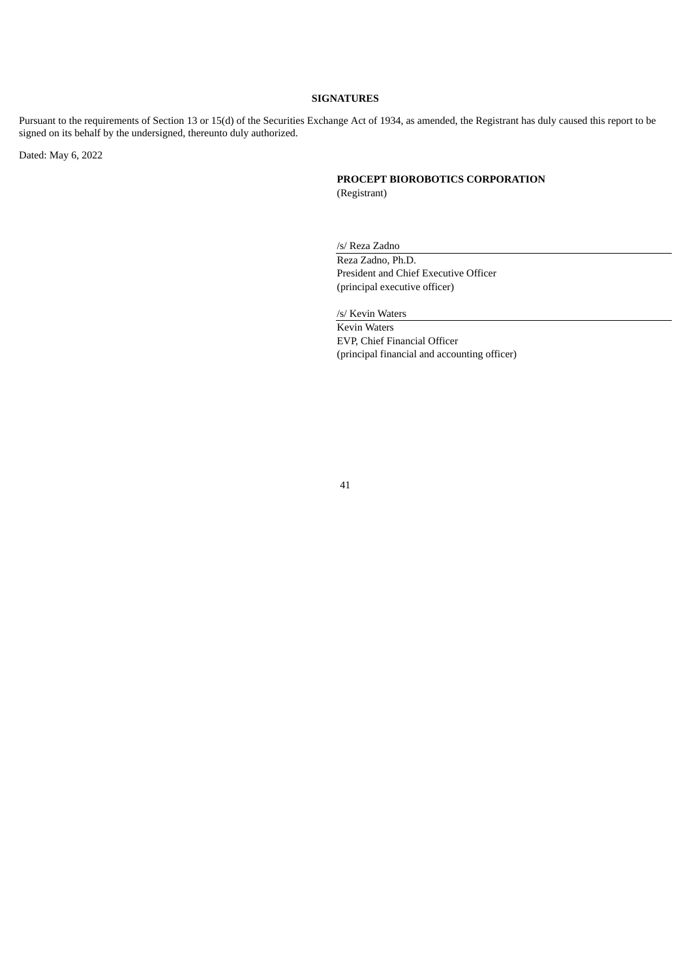## **SIGNATURES**

Pursuant to the requirements of Section 13 or 15(d) of the Securities Exchange Act of 1934, as amended, the Registrant has duly caused this report to be signed on its behalf by the undersigned, thereunto duly authorized.

Dated: May 6, 2022

# **PROCEPT BIOROBOTICS CORPORATION** (Registrant)

/s/ Reza Zadno Reza Zadno, Ph.D. President and Chief Executive Officer (principal executive officer)

/s/ Kevin Waters

Kevin Waters EVP, Chief Financial Officer (principal financial and accounting officer)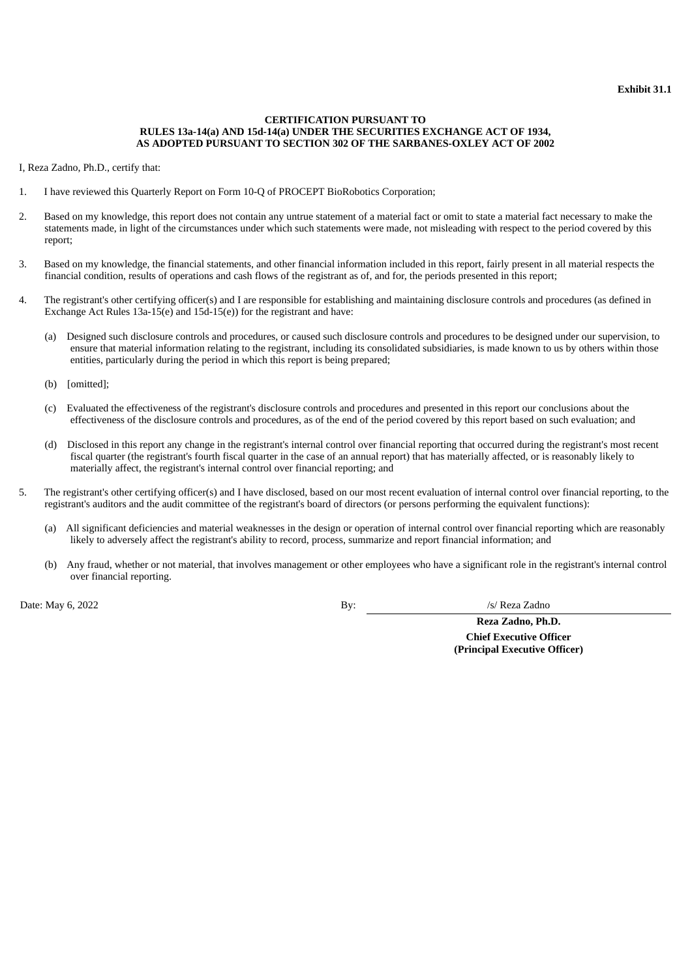### **Exhibit 31.1**

## **CERTIFICATION PURSUANT TO RULES 13a-14(a) AND 15d-14(a) UNDER THE SECURITIES EXCHANGE ACT OF 1934, AS ADOPTED PURSUANT TO SECTION 302 OF THE SARBANES-OXLEY ACT OF 2002**

<span id="page-39-0"></span>I, Reza Zadno, Ph.D., certify that:

- 1. I have reviewed this Quarterly Report on Form 10-Q of PROCEPT BioRobotics Corporation;
- 2. Based on my knowledge, this report does not contain any untrue statement of a material fact or omit to state a material fact necessary to make the statements made, in light of the circumstances under which such statements were made, not misleading with respect to the period covered by this report;
- 3. Based on my knowledge, the financial statements, and other financial information included in this report, fairly present in all material respects the financial condition, results of operations and cash flows of the registrant as of, and for, the periods presented in this report;
- 4. The registrant's other certifying officer(s) and I are responsible for establishing and maintaining disclosure controls and procedures (as defined in Exchange Act Rules  $13a-15(e)$  and  $15d-15(e)$ ) for the registrant and have:
	- (a) Designed such disclosure controls and procedures, or caused such disclosure controls and procedures to be designed under our supervision, to ensure that material information relating to the registrant, including its consolidated subsidiaries, is made known to us by others within those entities, particularly during the period in which this report is being prepared;
	- (b) [omitted];
	- (c) Evaluated the effectiveness of the registrant's disclosure controls and procedures and presented in this report our conclusions about the effectiveness of the disclosure controls and procedures, as of the end of the period covered by this report based on such evaluation; and
	- (d) Disclosed in this report any change in the registrant's internal control over financial reporting that occurred during the registrant's most recent fiscal quarter (the registrant's fourth fiscal quarter in the case of an annual report) that has materially affected, or is reasonably likely to materially affect, the registrant's internal control over financial reporting; and
- 5. The registrant's other certifying officer(s) and I have disclosed, based on our most recent evaluation of internal control over financial reporting, to the registrant's auditors and the audit committee of the registrant's board of directors (or persons performing the equivalent functions):
	- (a) All significant deficiencies and material weaknesses in the design or operation of internal control over financial reporting which are reasonably likely to adversely affect the registrant's ability to record, process, summarize and report financial information; and
	- (b) Any fraud, whether or not material, that involves management or other employees who have a significant role in the registrant's internal control over financial reporting.

Date: May 6, 2022 / 2008 / 2022 / 2012 / 2022 / 2022 / 2022 / 2022 / 2022 / 2022 / 2022 / 2022 / 2022 / 2022 / 2022 / 2022 / 2022 / 2022 / 2022 / 2022 / 2022 / 2022 / 2022 / 2022 / 2022 / 2022 / 2022 / 2022 / 2022 / 2022 /

**Reza Zadno, Ph.D. Chief Executive Officer (Principal Executive Officer)**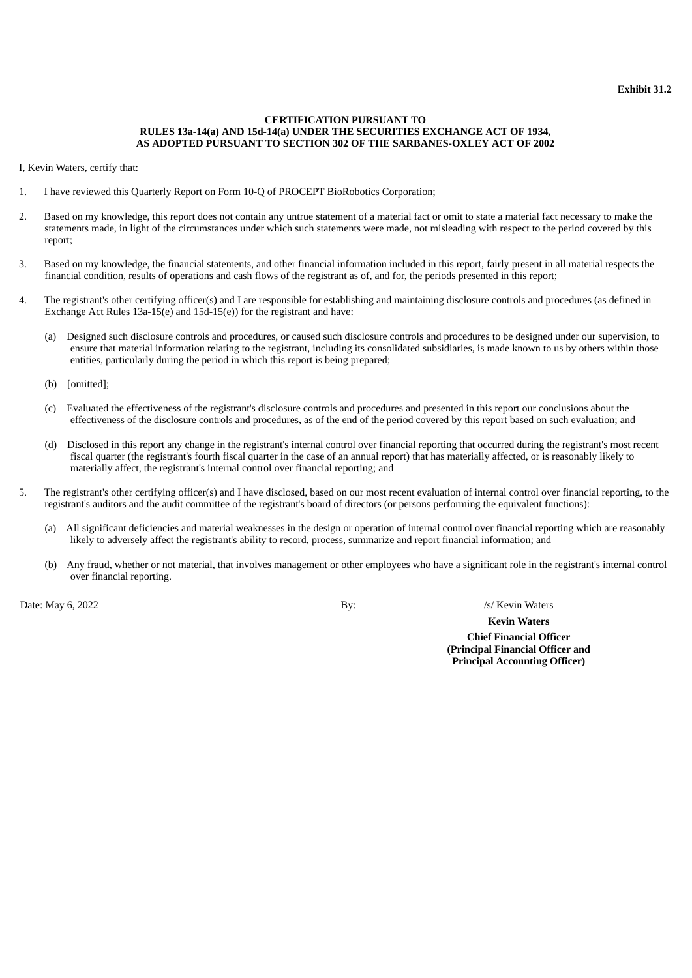### **Exhibit 31.2**

### **CERTIFICATION PURSUANT TO RULES 13a-14(a) AND 15d-14(a) UNDER THE SECURITIES EXCHANGE ACT OF 1934, AS ADOPTED PURSUANT TO SECTION 302 OF THE SARBANES-OXLEY ACT OF 2002**

<span id="page-40-0"></span>I, Kevin Waters, certify that:

- 1. I have reviewed this Quarterly Report on Form 10-Q of PROCEPT BioRobotics Corporation;
- 2. Based on my knowledge, this report does not contain any untrue statement of a material fact or omit to state a material fact necessary to make the statements made, in light of the circumstances under which such statements were made, not misleading with respect to the period covered by this report;
- 3. Based on my knowledge, the financial statements, and other financial information included in this report, fairly present in all material respects the financial condition, results of operations and cash flows of the registrant as of, and for, the periods presented in this report;
- 4. The registrant's other certifying officer(s) and I are responsible for establishing and maintaining disclosure controls and procedures (as defined in Exchange Act Rules  $13a-15(e)$  and  $15d-15(e)$ ) for the registrant and have:
	- (a) Designed such disclosure controls and procedures, or caused such disclosure controls and procedures to be designed under our supervision, to ensure that material information relating to the registrant, including its consolidated subsidiaries, is made known to us by others within those entities, particularly during the period in which this report is being prepared;
	- (b) [omitted];
	- (c) Evaluated the effectiveness of the registrant's disclosure controls and procedures and presented in this report our conclusions about the effectiveness of the disclosure controls and procedures, as of the end of the period covered by this report based on such evaluation; and
	- (d) Disclosed in this report any change in the registrant's internal control over financial reporting that occurred during the registrant's most recent fiscal quarter (the registrant's fourth fiscal quarter in the case of an annual report) that has materially affected, or is reasonably likely to materially affect, the registrant's internal control over financial reporting; and
- 5. The registrant's other certifying officer(s) and I have disclosed, based on our most recent evaluation of internal control over financial reporting, to the registrant's auditors and the audit committee of the registrant's board of directors (or persons performing the equivalent functions):
	- (a) All significant deficiencies and material weaknesses in the design or operation of internal control over financial reporting which are reasonably likely to adversely affect the registrant's ability to record, process, summarize and report financial information; and
	- (b) Any fraud, whether or not material, that involves management or other employees who have a significant role in the registrant's internal control over financial reporting.

Date: May 6, 2022 **By:** *By: By: By: Isl Kevin Waters* 

**Kevin Waters Chief Financial Officer (Principal Financial Officer and Principal Accounting Officer)**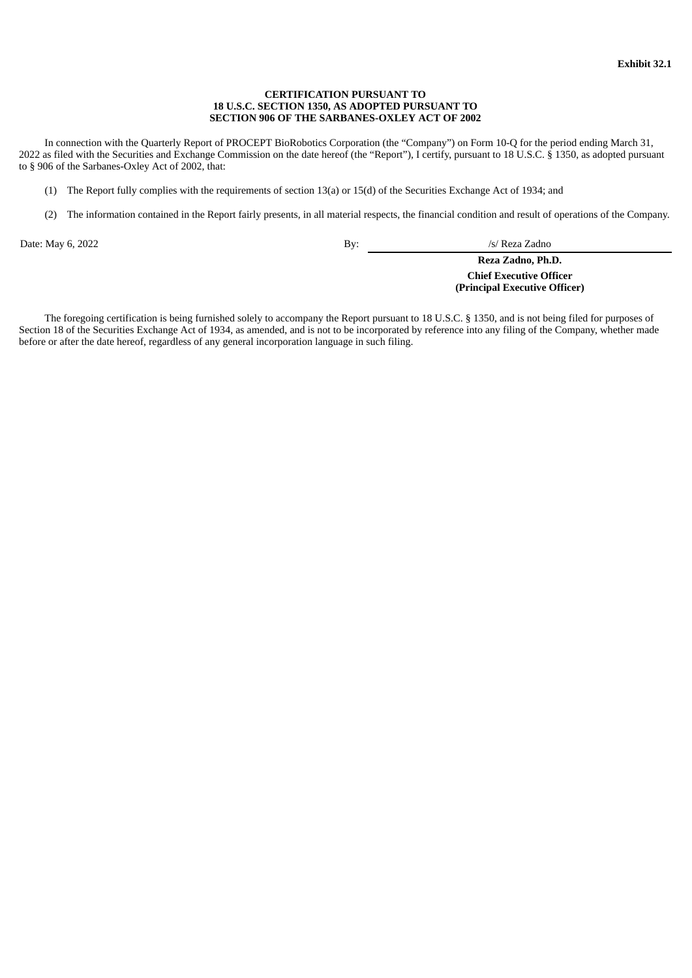### **CERTIFICATION PURSUANT TO 18 U.S.C. SECTION 1350, AS ADOPTED PURSUANT TO SECTION 906 OF THE SARBANES-OXLEY ACT OF 2002**

<span id="page-41-0"></span>In connection with the Quarterly Report of PROCEPT BioRobotics Corporation (the "Company") on Form 10-Q for the period ending March 31, 2022 as filed with the Securities and Exchange Commission on the date hereof (the "Report"), I certify, pursuant to 18 U.S.C. § 1350, as adopted pursuant to § 906 of the Sarbanes-Oxley Act of 2002, that:

- (1) The Report fully complies with the requirements of section 13(a) or 15(d) of the Securities Exchange Act of 1934; and
- (2) The information contained in the Report fairly presents, in all material respects, the financial condition and result of operations of the Company.

Date: May 6, 2022 / /s/ Reza Zadno

**Reza Zadno, Ph.D. Chief Executive Officer (Principal Executive Officer)**

The foregoing certification is being furnished solely to accompany the Report pursuant to 18 U.S.C. § 1350, and is not being filed for purposes of Section 18 of the Securities Exchange Act of 1934, as amended, and is not to be incorporated by reference into any filing of the Company, whether made before or after the date hereof, regardless of any general incorporation language in such filing.